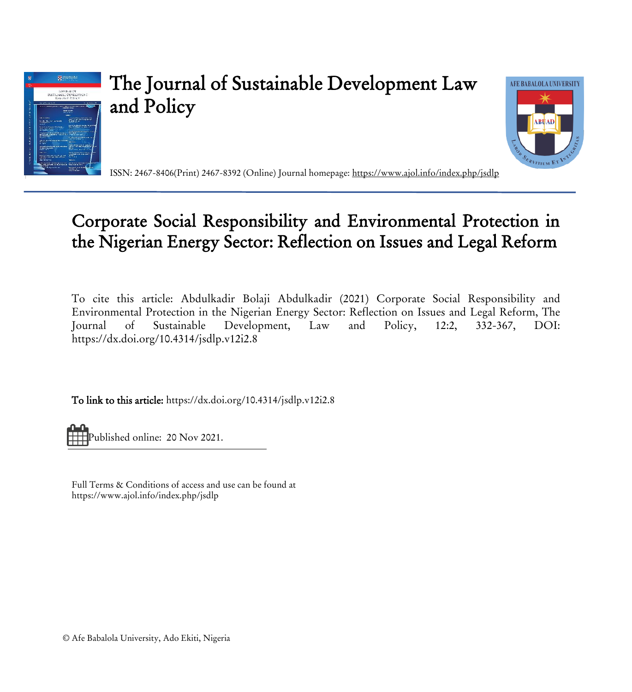

# The Journal of Sustainable Development Law and Policy



ISSN: 2467-8406(Print) 2467-8392 (Online) Journal homepage[: https://www.ajol.info/index.php/jsdlp](https://www.ajol.info/index.php/jsdlp)

# Corporate Social Responsibility and Environmental Protection in the Nigerian Energy Sector: Reflection on Issues and Legal Reform

To cite this article: Abdulkadir Bolaji Abdulkadir (2021) Corporate Social Responsibility and Environmental Protection in the Nigerian Energy Sector: Reflection on Issues and Legal Reform, The Journal of Sustainable Development, Law and Policy, 12:2, 332-367, DOI: <https://dx.doi.org/10.4314/jsdlp.v12i2.8>

To link to this article[: https://dx.doi.org/10.4314/jsdlp.v12i2.8](https://dx.doi.org/10.4314/jsdlp.v12i2.8)

Published online: 20 Nov 2021.

Full Terms & Conditions of access and use can be found at https://www.ajol.info/index.php/jsdlp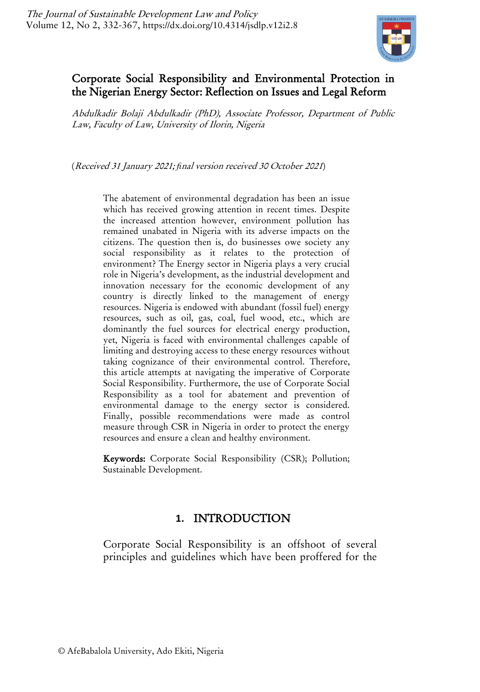

# Corporate Social Responsibility and Environmental Protection in the Nigerian Energy Sector: Reflection on Issues and Legal Reform

Abdulkadir Bolaji Abdulkadir (PhD), Associate Professor, Department of Public Law, Faculty of Law, University of Ilorin, Nigeria

(Received 31 January 2021; *fi*nal version received 30 October 2021)

The abatement of environmental degradation has been an issue which has received growing attention in recent times. Despite the increased attention however, environment pollution has remained unabated in Nigeria with its adverse impacts on the citizens. The question then is, do businesses owe society any social responsibility as it relates to the protection of environment? The Energy sector in Nigeria plays a very crucial role in Nigeria's development, as the industrial development and innovation necessary for the economic development of any country is directly linked to the management of energy resources. Nigeria is endowed with abundant (fossil fuel) energy resources, such as oil, gas, coal, fuel wood, etc., which are dominantly the fuel sources for electrical energy production, yet, Nigeria is faced with environmental challenges capable of limiting and destroying access to these energy resources without taking cognizance of their environmental control. Therefore, this article attempts at navigating the imperative of Corporate Social Responsibility. Furthermore, the use of Corporate Social Responsibility as a tool for abatement and prevention of environmental damage to the energy sector is considered. Finally, possible recommendations were made as control measure through CSR in Nigeria in order to protect the energy resources and ensure a clean and healthy environment.

Keywords: Corporate Social Responsibility (CSR); Pollution; Sustainable Development.

### **1.** INTRODUCTION

Corporate Social Responsibility is an offshoot of several principles and guidelines which have been proffered for the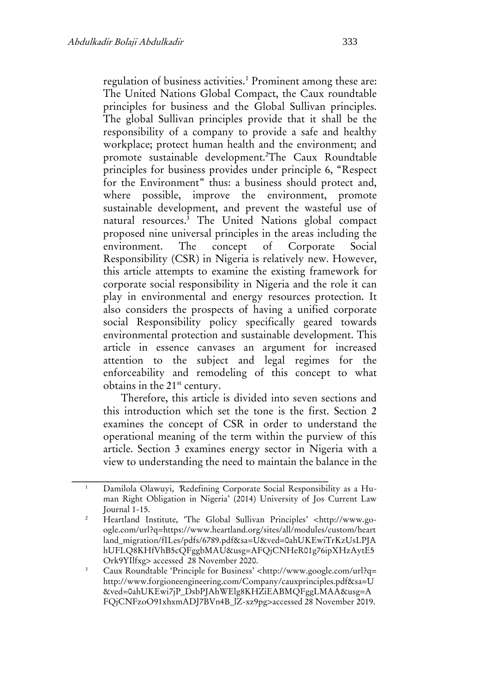regulation of business activities.<sup>1</sup> Prominent among these are: The United Nations Global Compact, the Caux roundtable principles for business and the Global Sullivan principles. The global Sullivan principles provide that it shall be the responsibility of a company to provide a safe and healthy workplace; protect human health and the environment; and promote sustainable development.<sup>2</sup>The Caux Roundtable principles for business provides under principle 6, "Respect for the Environment" thus: a business should protect and, where possible, improve the environment, promote sustainable development, and prevent the wasteful use of natural resources.<sup>3</sup> The United Nations global compact proposed nine universal principles in the areas including the environment. The concept of Corporate Social Responsibility (CSR) in Nigeria is relatively new. However, this article attempts to examine the existing framework for corporate social responsibility in Nigeria and the role it can play in environmental and energy resources protection. It also considers the prospects of having a unified corporate social Responsibility policy specifically geared towards environmental protection and sustainable development. This article in essence canvases an argument for increased attention to the subject and legal regimes for the enforceability and remodeling of this concept to what obtains in the 21st century.

Therefore, this article is divided into seven sections and this introduction which set the tone is the first. Section 2 examines the concept of CSR in order to understand the operational meaning of the term within the purview of this article. Section 3 examines energy sector in Nigeria with a view to understanding the need to maintain the balance in the

\_\_\_\_\_\_\_\_\_\_\_\_\_\_\_\_\_\_\_\_\_\_\_\_\_\_\_\_\_\_\_\_\_\_\_\_\_\_\_\_\_\_\_\_\_\_\_ <sup>1</sup> Damilola Olawuyi, 'Redefining Corporate Social Responsibility as a Human Right Obligation in Nigeria' (2014) University of Jos Current Law Journal 1-15.

<sup>&</sup>lt;sup>2</sup> Heartland Institute, 'The Global Sullivan Principles' <http://www.google.com/url?q=https://www.heartland.org/sites/all/modules/custom/heart land\_migration/fILes/pdfs/6789.pdf&sa=U&ved=0ahUKEwiTrKzUsLPJA hUFLQ8KHfVhB5cQFggbMAU&usg=AFQjCNHeR01g76ipXHzAytE5 Ork9YIlfxg> accessed 28 November 2020.

<sup>3</sup> Caux Roundtable 'Principle for Business' <http://www.google.com/url?q= http://www.forgioneengineering.com/Company/cauxprinciples.pdf&sa=U &ved=0ahUKEwi7jP\_DsbPJAhWElg8KHZiEABMQFggLMAA&usg=A FQjCNFzoO91xhxmADJ7BVn4B\_lZ-xz9pg>accessed 28 November 2019.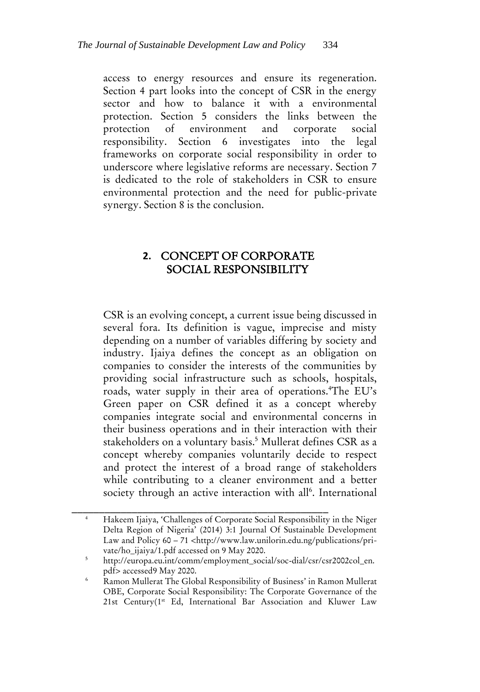access to energy resources and ensure its regeneration. Section 4 part looks into the concept of CSR in the energy sector and how to balance it with a environmental protection. Section 5 considers the links between the protection of environment and corporate social responsibility. Section 6 investigates into the legal frameworks on corporate social responsibility in order to underscore where legislative reforms are necessary. Section 7 is dedicated to the role of stakeholders in CSR to ensure environmental protection and the need for public-private synergy. Section 8 is the conclusion.

# **2.** CONCEPT OF CORPORATE SOCIAL RESPONSIBILITY

CSR is an evolving concept, a current issue being discussed in several fora. Its definition is vague, imprecise and misty depending on a number of variables differing by society and industry. Ijaiya defines the concept as an obligation on companies to consider the interests of the communities by providing social infrastructure such as schools, hospitals, roads, water supply in their area of operations.<sup>4</sup>The EU's Green paper on CSR defined it as a concept whereby companies integrate social and environmental concerns in their business operations and in their interaction with their stakeholders on a voluntary basis.<sup>5</sup> Mullerat defines CSR as a concept whereby companies voluntarily decide to respect and protect the interest of a broad range of stakeholders while contributing to a cleaner environment and a better society through an active interaction with all<sup>6</sup>. International

\_\_\_\_\_\_\_\_\_\_\_\_\_\_\_\_\_\_\_\_\_\_\_\_\_\_\_\_\_\_\_\_\_\_\_\_\_\_\_\_\_\_\_\_\_\_\_ <sup>4</sup> Hakeem Ijaiya, 'Challenges of Corporate Social Responsibility in the Niger Delta Region of Nigeria' (2014) 3:1 Journal Of Sustainable Development Law and Policy 60 – 71 <http://www.law.unilorin.edu.ng/publications/private/ho\_ijaiya/1.pdf accessed on 9 May 2020.

<sup>5</sup> http://europa.eu.int/comm/employment\_social/soc‐dial/csr/csr2002col\_en. pdf> accessed9 May 2020.

<sup>&</sup>lt;sup>6</sup> Ramon Mullerat The Global Responsibility of Business' in Ramon Mullerat OBE, Corporate Social Responsibility: The Corporate Governance of the 21st Century(1st Ed, International Bar Association and Kluwer Law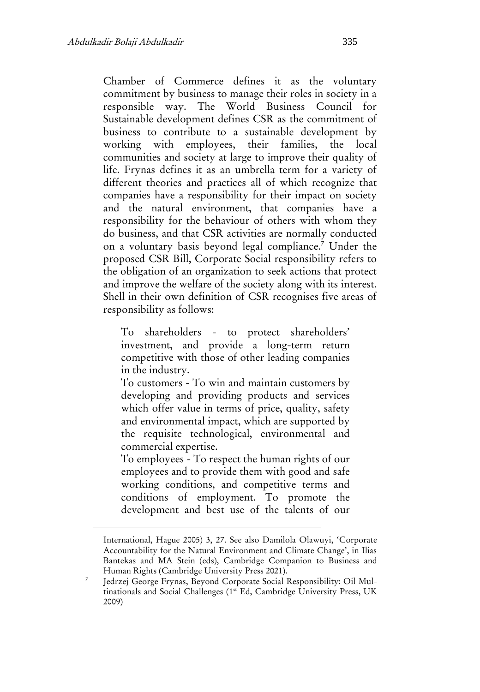Chamber of Commerce defines it as the voluntary commitment by business to manage their roles in society in a responsible way. The World Business Council for Sustainable development defines CSR as the commitment of business to contribute to a sustainable development by working with employees, their families, the local communities and society at large to improve their quality of life. Frynas defines it as an umbrella term for a variety of different theories and practices all of which recognize that companies have a responsibility for their impact on society and the natural environment, that companies have a responsibility for the behaviour of others with whom they do business, and that CSR activities are normally conducted on a voluntary basis beyond legal compliance.<sup>7</sup> Under the proposed CSR Bill, Corporate Social responsibility refers to the obligation of an organization to seek actions that protect and improve the welfare of the society along with its interest. Shell in their own definition of CSR recognises five areas of responsibility as follows:

To shareholders - to protect shareholders' investment, and provide a long-term return competitive with those of other leading companies in the industry.

To customers - To win and maintain customers by developing and providing products and services which offer value in terms of price, quality, safety and environmental impact, which are supported by the requisite technological, environmental and commercial expertise.

To employees - To respect the human rights of our employees and to provide them with good and safe working conditions, and competitive terms and conditions of employment. To promote the development and best use of the talents of our

International, Hague 2005) 3, 27. See also Damilola Olawuyi, 'Corporate Accountability for the Natural Environment and Climate Change', in Ilias Bantekas and MA Stein (eds), Cambridge Companion to Business and Human Rights (Cambridge University Press 2021).

<sup>7</sup> Jedrzej George Frynas, Beyond Corporate Social Responsibility: Oil Multinationals and Social Challenges (1<sup>st</sup> Ed, Cambridge University Press, UK 2009)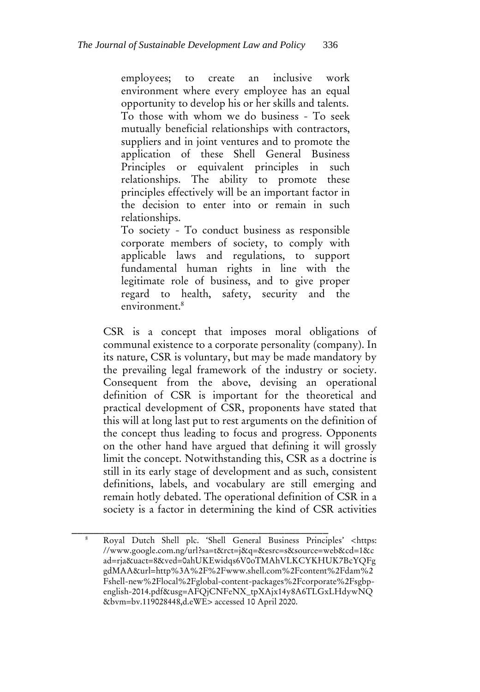employees; to create an inclusive work environment where every employee has an equal opportunity to develop his or her skills and talents. To those with whom we do business - To seek mutually beneficial relationships with contractors, suppliers and in joint ventures and to promote the application of these Shell General Business Principles or equivalent principles in such relationships. The ability to promote these principles effectively will be an important factor in the decision to enter into or remain in such relationships.

To society - To conduct business as responsible corporate members of society, to comply with applicable laws and regulations, to support fundamental human rights in line with the legitimate role of business, and to give proper regard to health, safety, security and the environment.<sup>8</sup>

CSR is a concept that imposes moral obligations of communal existence to a corporate personality (company). In its nature, CSR is voluntary, but may be made mandatory by the prevailing legal framework of the industry or society. Consequent from the above, devising an operational definition of CSR is important for the theoretical and practical development of CSR, proponents have stated that this will at long last put to rest arguments on the definition of the concept thus leading to focus and progress. Opponents on the other hand have argued that defining it will grossly limit the concept. Notwithstanding this, CSR as a doctrine is still in its early stage of development and as such, consistent definitions, labels, and vocabulary are still emerging and remain hotly debated. The operational definition of CSR in a society is a factor in determining the kind of CSR activities

\_\_\_\_\_\_\_\_\_\_\_\_\_\_\_\_\_\_\_\_\_\_\_\_\_\_\_\_\_\_\_\_\_\_\_\_\_\_\_\_\_\_\_\_\_\_\_ <sup>8</sup> Royal Dutch Shell plc. 'Shell General Business Principles' <https: //www.google.com.ng/url?sa=t&rct=j&q=&esrc=s&source=web&cd=1&c ad=rja&uact=8&ved=0ahUKEwidqs6V0oTMAhVLKCYKHUK7BcYQFg gdMAA&url=http%3A%2F%2Fwww.shell.com%2Fcontent%2Fdam%2 Fshell-new%2Flocal%2Fglobal-content-packages%2Fcorporate%2Fsgbpenglish-2014.pdf&usg=AFQjCNFeNX\_tpXAjx14y8A6TLGxLHdywNQ &bvm=bv.119028448,d.eWE> accessed 10 April 2020.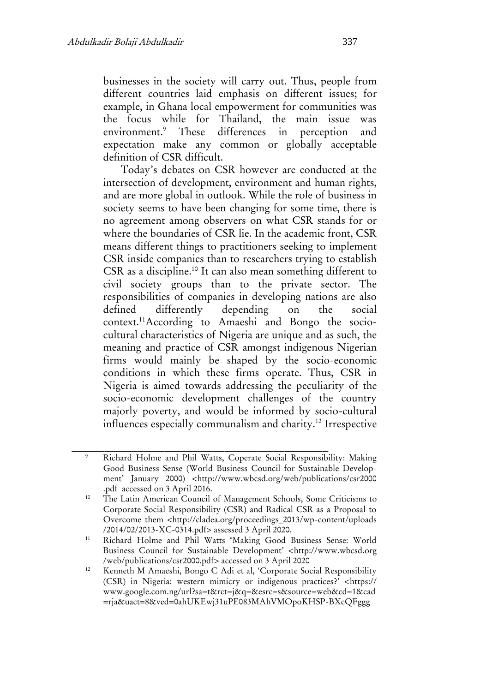businesses in the society will carry out. Thus, people from different countries laid emphasis on different issues; for example, in Ghana local empowerment for communities was the focus while for Thailand, the main issue was environment.<sup>9</sup> These differences in perception and expectation make any common or globally acceptable definition of CSR difficult.

Today's debates on CSR however are conducted at the intersection of development, environment and human rights, and are more global in outlook. While the role of business in society seems to have been changing for some time, there is no agreement among observers on what CSR stands for or where the boundaries of CSR lie. In the academic front, CSR means different things to practitioners seeking to implement CSR inside companies than to researchers trying to establish CSR as a discipline.<sup>10</sup> It can also mean something different to civil society groups than to the private sector. The responsibilities of companies in developing nations are also defined differently depending on the social context. 11According to Amaeshi and Bongo the sociocultural characteristics of Nigeria are unique and as such, the meaning and practice of CSR amongst indigenous Nigerian firms would mainly be shaped by the socio-economic conditions in which these firms operate. Thus, CSR in Nigeria is aimed towards addressing the peculiarity of the socio-economic development challenges of the country majorly poverty, and would be informed by socio-cultural influences especially communalism and charity.<sup>12</sup> Irrespective

<sup>9</sup> Richard Holme and Phil Watts, Coperate Social Responsibility: Making Good Business Sense (World Business Council for Sustainable Development' January 2000) <http://www.wbcsd.org/web/publications/csr2000 .pdf accessed on 3 April 2016.

<sup>&</sup>lt;sup>10</sup> The Latin American Council of Management Schools, Some Criticisms to Corporate Social Responsibility (CSR) and Radical CSR as a Proposal to Overcome them <http://cladea.org/proceedings\_2013/wp-content/uploads /2014/02/2013-XC-0314.pdf> assessed 3 April 2020.

<sup>11</sup> Richard Holme and Phil Watts 'Making Good Business Sense: World Business Council for Sustainable Development' <http://www.wbcsd.org /web/publications/csr2000.pdf> accessed on 3 April 2020

<sup>&</sup>lt;sup>12</sup> Kenneth M Amaeshi, Bongo C Adi et al, 'Corporate Social Responsibility (CSR) in Nigeria: western mimicry or indigenous practices?' <https:// www.google.com.ng/url?sa=t&rct=j&q=&esrc=s&source=web&cd=1&cad =rja&uact=8&ved=0ahUKEwj31uPE083MAhVMOpoKHSP-BXcQFggg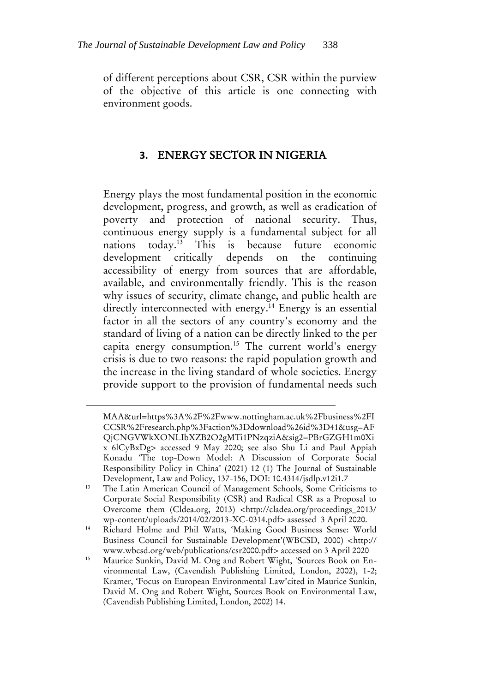of different perceptions about CSR, CSR within the purview of the objective of this article is one connecting with environment goods.

# **3.** ENERGY SECTOR IN NIGERIA

Energy plays the most fundamental position in the economic development, progress, and growth, as well as eradication of poverty and protection of national security. Thus, continuous energy supply is a fundamental subject for all nations today.<sup>13</sup> This is because future economic development critically depends on the continuing accessibility of energy from sources that are affordable, available, and environmentally friendly. This is the reason why issues of security, climate change, and public health are directly interconnected with energy.<sup>14</sup> Energy is an essential factor in all the sectors of any country's economy and the standard of living of a nation can be directly linked to the per capita energy consumption.<sup>15</sup> The current world's energy crisis is due to two reasons: the rapid population growth and the increase in the living standard of whole societies. Energy provide support to the provision of fundamental needs such

MAA&url=https%3A%2F%2Fwww.nottingham.ac.uk%2Fbusiness%2FI CCSR%2Fresearch.php%3Faction%3Ddownload%26id%3D41&usg=AF QjCNGVWkXONLIbXZB2O2gMTi1PNzqziA&sig2=PBrGZGH1m0Xi x 6lCyBxDg> accessed 9 May 2020; see also Shu Li and Paul Appiah Konadu 'The top-Down Model: A Discussion of Corporate Social Responsibility Policy in China' (2021) 12 (1) The Journal of Sustainable Development, Law and Policy, 137-156, DOI: 10.4314/jsdlp.v12i1.7

<sup>&</sup>lt;sup>13</sup> The Latin American Council of Management Schools, Some Criticisms to Corporate Social Responsibility (CSR) and Radical CSR as a Proposal to Overcome them (Cldea.org, 2013) <http://cladea.org/proceedings\_2013/ wp-content/uploads/2014/02/2013-XC-0314.pdf> assessed 3 April 2020.

<sup>14</sup> Richard Holme and Phil Watts, 'Making Good Business Sense: World Business Council for Sustainable Development'(WBCSD, 2000) <http:// www.wbcsd.org/web/publications/csr2000.pdf> accessed on 3 April 2020

<sup>&</sup>lt;sup>15</sup> Maurice Sunkin, David M. Ong and Robert Wight, 'Sources Book on Environmental Law, (Cavendish Publishing Limited, London, 2002), 1-2; Kramer, 'Focus on European Environmental Law'cited in Maurice Sunkin, David M. Ong and Robert Wight, Sources Book on Environmental Law, (Cavendish Publishing Limited, London, 2002) 14.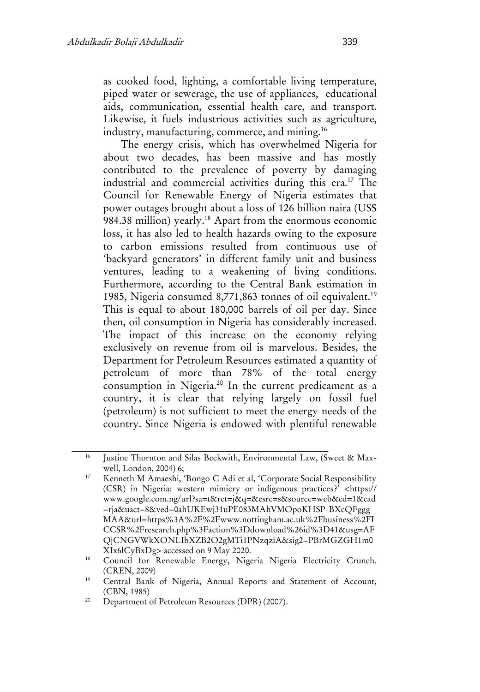as cooked food, lighting, a comfortable living temperature, piped water or sewerage, the use of appliances, educational aids, communication, essential health care, and transport. Likewise, it fuels industrious activities such as agriculture, industry, manufacturing, commerce, and mining.<sup>16</sup>

The energy crisis, which has overwhelmed Nigeria for about two decades, has been massive and has mostly contributed to the prevalence of poverty by damaging industrial and commercial activities during this era.<sup>17</sup> The Council for Renewable Energy of Nigeria estimates that power outages brought about a loss of 126 billion naira (US\$ 984.38 million) yearly.<sup>18</sup> Apart from the enormous economic loss, it has also led to health hazards owing to the exposure to carbon emissions resulted from continuous use of 'backyard generators' in different family unit and business ventures, leading to a weakening of living conditions. Furthermore, according to the Central Bank estimation in 1985, Nigeria consumed 8,771,863 tonnes of oil equivalent.<sup>19</sup> This is equal to about 180,000 barrels of oil per day. Since then, oil consumption in Nigeria has considerably increased. The impact of this increase on the economy relying exclusively on revenue from oil is marvelous. Besides, the Department for Petroleum Resources estimated a quantity of petroleum of more than 78% of the total energy consumption in Nigeria.<sup>20</sup> In the current predicament as a country, it is clear that relying largely on fossil fuel (petroleum) is not sufficient to meet the energy needs of the country. Since Nigeria is endowed with plentiful renewable

<sup>&</sup>lt;sup>16</sup> Justine Thornton and Silas Beckwith, Environmental Law, (Sweet & Maxwell, London, 2004) 6;

<sup>&</sup>lt;sup>17</sup> Kenneth M Amaeshi, 'Bongo C Adi et al, 'Corporate Social Responsibility (CSR) in Nigeria: western mimicry or indigenous practices?' <https:// www.google.com.ng/url?sa=t&rct=j&q=&esrc=s&source=web&cd=1&cad =rja&uact=8&ved=0ahUKEwj31uPE083MAhVMOpoKHSP-BXcQFggg MAA&url=https%3A%2F%2Fwww.nottingham.ac.uk%2Fbusiness%2FI CCSR%2Fresearch.php%3Faction%3Ddownload%26id%3D41&usg=AF QjCNGVWkXONLIbXZB2O2gMTi1PNzqziA&sig2=PBrMGZGH1m0 XIx6lCyBxDg> accessed on 9 May 2020.

<sup>&</sup>lt;sup>18</sup> Council for Renewable Energy, Nigeria Nigeria Electricity Crunch. (CREN, 2009)

<sup>&</sup>lt;sup>19</sup> Central Bank of Nigeria, Annual Reports and Statement of Account, (CBN, 1985)

<sup>&</sup>lt;sup>20</sup> Department of Petroleum Resources (DPR) (2007).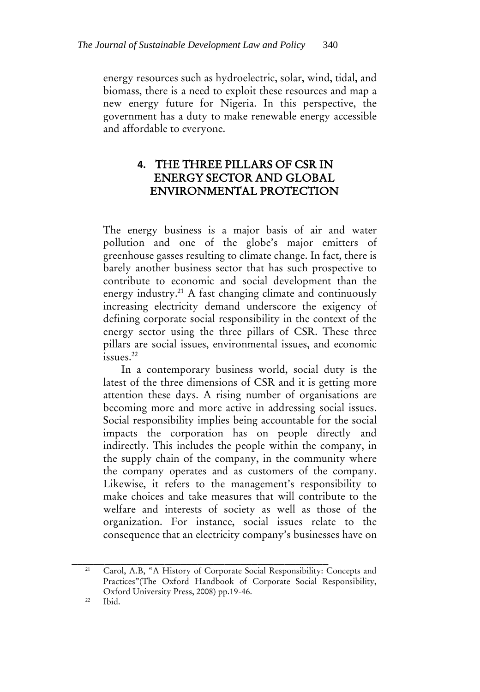energy resources such as hydroelectric, solar, wind, tidal, and biomass, there is a need to exploit these resources and map a new energy future for Nigeria. In this perspective, the government has a duty to make renewable energy accessible and affordable to everyone.

# **4.** THE THREE PILLARS OF CSR IN ENERGY SECTOR AND GLOBAL ENVIRONMENTAL PROTECTION

The energy business is a major basis of air and water pollution and one of the globe's major emitters of greenhouse gasses resulting to climate change. In fact, there is barely another business sector that has such prospective to contribute to economic and social development than the energy industry.<sup>21</sup> A fast changing climate and continuously increasing electricity demand underscore the exigency of defining corporate social responsibility in the context of the energy sector using the three pillars of CSR. These three pillars are social issues, environmental issues, and economic issues.<sup>22</sup>

In a contemporary business world, social duty is the latest of the three dimensions of CSR and it is getting more attention these days. A rising number of organisations are becoming more and more active in addressing social issues. Social responsibility implies being accountable for the social impacts the corporation has on people directly and indirectly. This includes the people within the company, in the supply chain of the company, in the community where the company operates and as customers of the company. Likewise, it refers to the management's responsibility to make choices and take measures that will contribute to the welfare and interests of society as well as those of the organization. For instance, social issues relate to the consequence that an electricity company's businesses have on

\_\_\_\_\_\_\_\_\_\_\_\_\_\_\_\_\_\_\_\_\_\_\_\_\_\_\_\_\_\_\_\_\_\_\_\_\_\_\_\_\_\_\_\_\_\_\_ <sup>21</sup> Carol, A.B, "A History of Corporate Social Responsibility: Concepts and Practices"(The Oxford Handbook of Corporate Social Responsibility, Oxford University Press, 2008) pp.19-46.

<sup>22</sup> Ibid.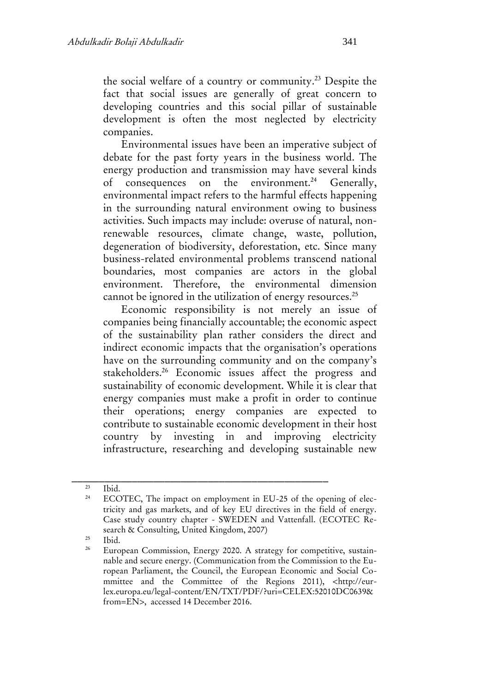the social welfare of a country or community.<sup>23</sup> Despite the fact that social issues are generally of great concern to developing countries and this social pillar of sustainable development is often the most neglected by electricity companies.

Environmental issues have been an imperative subject of debate for the past forty years in the business world. The energy production and transmission may have several kinds of consequences on the environment.<sup>24</sup> Generally, environmental impact refers to the harmful effects happening in the surrounding natural environment owing to business activities. Such impacts may include: overuse of natural, nonrenewable resources, climate change, waste, pollution, degeneration of biodiversity, deforestation, etc. Since many business-related environmental problems transcend national boundaries, most companies are actors in the global environment. Therefore, the environmental dimension cannot be ignored in the utilization of energy resources.<sup>25</sup>

Economic responsibility is not merely an issue of companies being financially accountable; the economic aspect of the sustainability plan rather considers the direct and indirect economic impacts that the organisation's operations have on the surrounding community and on the company's stakeholders.<sup>26</sup> Economic issues affect the progress and sustainability of economic development. While it is clear that energy companies must make a profit in order to continue their operations; energy companies are expected to contribute to sustainable economic development in their host country by investing in and improving electricity infrastructure, researching and developing sustainable new

\_\_\_\_\_\_\_\_\_\_\_\_\_\_\_\_\_\_\_\_\_\_\_\_\_\_\_\_\_\_\_\_\_\_\_\_\_\_\_\_\_\_\_\_\_\_\_

 $rac{25}{26}$  Ibid.

 $\frac{23}{24}$  Ibid.

ECOTEC, The impact on employment in EU-25 of the opening of electricity and gas markets, and of key EU directives in the field of energy. Case study country chapter - SWEDEN and Vattenfall. (ECOTEC Research & Consulting, United Kingdom, 2007)

European Commission, Energy 2020. A strategy for competitive, sustainnable and secure energy. (Communication from the Commission to the European Parliament, the Council, the European Economic and Social Committee and the Committee of the Regions 2011), <http://eurlex.europa.eu/legal-content/EN/TXT/PDF/?uri=CELEX:52010DC0639& from=EN>, accessed 14 December 2016.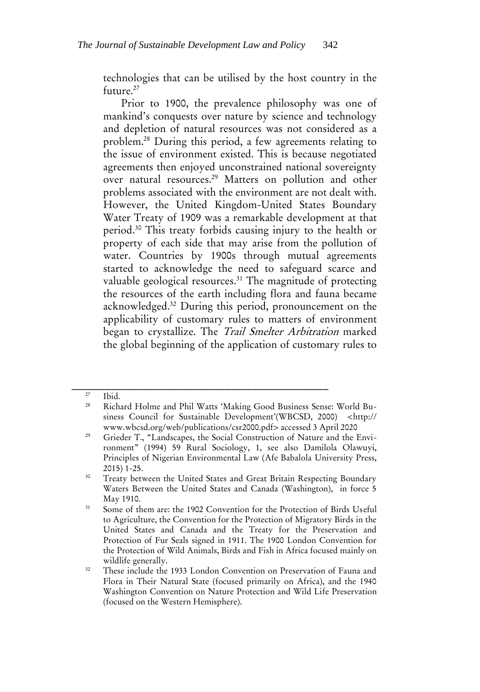technologies that can be utilised by the host country in the future.<sup>27</sup>

Prior to 1900, the prevalence philosophy was one of mankind's conquests over nature by science and technology and depletion of natural resources was not considered as a problem.<sup>28</sup> During this period, a few agreements relating to the issue of environment existed. This is because negotiated agreements then enjoyed unconstrained national sovereignty over natural resources.<sup>29</sup> Matters on pollution and other problems associated with the environment are not dealt with. However, the United Kingdom-United States Boundary Water Treaty of 1909 was a remarkable development at that period.<sup>30</sup> This treaty forbids causing injury to the health or property of each side that may arise from the pollution of water. Countries by 1900s through mutual agreements started to acknowledge the need to safeguard scarce and valuable geological resources.<sup>31</sup> The magnitude of protecting the resources of the earth including flora and fauna became acknowledged.<sup>32</sup> During this period, pronouncement on the applicability of customary rules to matters of environment began to crystallize. The Trail Smelter Arbitration marked the global beginning of the application of customary rules to

 $27$  Ibid.

<sup>28</sup> Richard Holme and Phil Watts 'Making Good Business Sense: World Business Council for Sustainable Development'(WBCSD, 2000) <http:// www.wbcsd.org/web/publications/csr2000.pdf> accessed 3 April 2020

<sup>29</sup> Grieder T., "Landscapes, the Social Construction of Nature and the Environment" (1994) 59 Rural Sociology, 1, see also Damilola Olawuyi, Principles of Nigerian Environmental Law (Afe Babalola University Press, 2015) 1-25.

<sup>&</sup>lt;sup>30</sup> Treaty between the United States and Great Britain Respecting Boundary Waters Between the United States and Canada (Washington), in force 5 May 1910.

<sup>&</sup>lt;sup>31</sup> Some of them are: the 1902 Convention for the Protection of Birds Useful to Agriculture, the Convention for the Protection of Migratory Birds in the United States and Canada and the Treaty for the Preservation and Protection of Fur Seals signed in 1911. The 1900 London Convention for the Protection of Wild Animals, Birds and Fish in Africa focused mainly on wildlife generally.

<sup>&</sup>lt;sup>32</sup> These include the 1933 London Convention on Preservation of Fauna and Flora in Their Natural State (focused primarily on Africa), and the 1940 Washington Convention on Nature Protection and Wild Life Preservation (focused on the Western Hemisphere).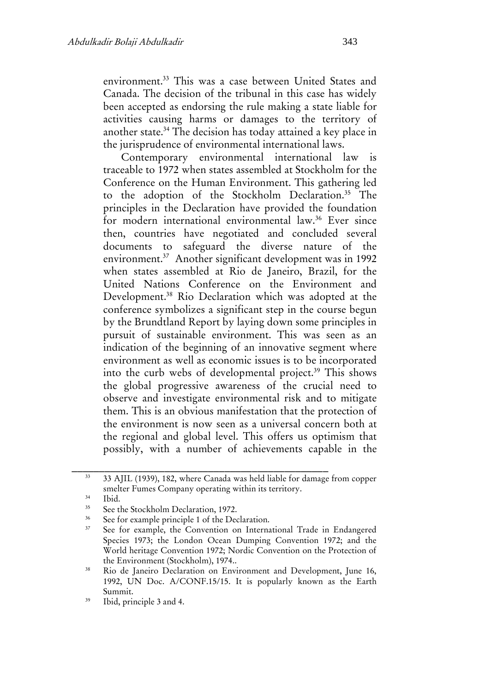environment.<sup>33</sup> This was a case between United States and Canada. The decision of the tribunal in this case has widely been accepted as endorsing the rule making a state liable for activities causing harms or damages to the territory of another state.<sup>34</sup> The decision has today attained a key place in the jurisprudence of environmental international laws.

Contemporary environmental international law is traceable to 1972 when states assembled at Stockholm for the Conference on the Human Environment. This gathering led to the adoption of the Stockholm Declaration.<sup>35</sup> The principles in the Declaration have provided the foundation for modern international environmental law.<sup>36</sup> Ever since then, countries have negotiated and concluded several documents to safeguard the diverse nature of the environment.<sup>37</sup> Another significant development was in 1992 when states assembled at Rio de Janeiro, Brazil, for the United Nations Conference on the Environment and Development.<sup>38</sup> Rio Declaration which was adopted at the conference symbolizes a significant step in the course begun by the Brundtland Report by laying down some principles in pursuit of sustainable environment. This was seen as an indication of the beginning of an innovative segment where environment as well as economic issues is to be incorporated into the curb webs of developmental project.<sup>39</sup> This shows the global progressive awareness of the crucial need to observe and investigate environmental risk and to mitigate them. This is an obvious manifestation that the protection of the environment is now seen as a universal concern both at the regional and global level. This offers us optimism that possibly, with a number of achievements capable in the

 $34$  Ibid.

<sup>&</sup>lt;sup>33</sup> 33 AJIL (1939), 182, where Canada was held liable for damage from copper smelter Fumes Company operating within its territory.

<sup>&</sup>lt;sup>35</sup> See the Stockholm Declaration, 1972.

 $36$  See for example principle 1 of the Declaration.

See for example, the Convention on International Trade in Endangered Species 1973; the London Ocean Dumping Convention 1972; and the World heritage Convention 1972; Nordic Convention on the Protection of the Environment (Stockholm), 1974..

<sup>&</sup>lt;sup>38</sup> Rio de Janeiro Declaration on Environment and Development, June 16, 1992, UN Doc. A/CONF.15/15. It is popularly known as the Earth Summit.

<sup>39</sup> Ibid, principle 3 and 4.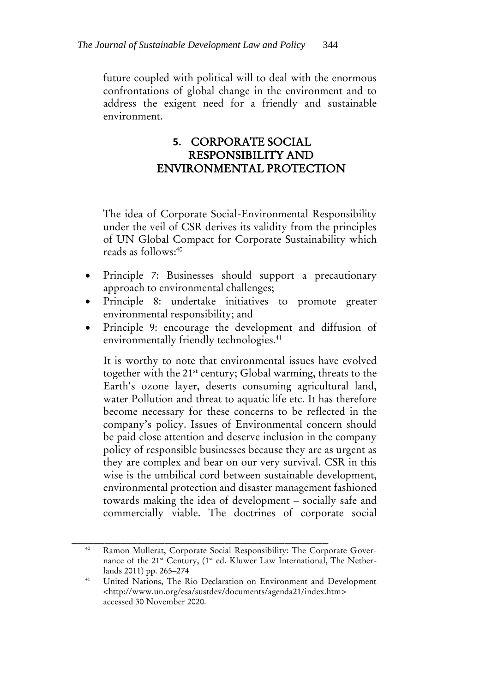future coupled with political will to deal with the enormous confrontations of global change in the environment and to address the exigent need for a friendly and sustainable environment.

# **5.** CORPORATE SOCIAL RESPONSIBILITY AND ENVIRONMENTAL PROTECTION

The idea of Corporate Social-Environmental Responsibility under the veil of CSR derives its validity from the principles of UN Global Compact for Corporate Sustainability which reads as follows:<sup>40</sup>

- Principle 7: Businesses should support a precautionary approach to environmental challenges;
- Principle 8: undertake initiatives to promote greater environmental responsibility; and
- Principle 9: encourage the development and diffusion of environmentally friendly technologies.<sup>41</sup>

It is worthy to note that environmental issues have evolved together with the 21<sup>st</sup> century; Global warming, threats to the Earth's ozone layer, deserts consuming agricultural land, water Pollution and threat to aquatic life etc. It has therefore become necessary for these concerns to be reflected in the company's policy. Issues of Environmental concern should be paid close attention and deserve inclusion in the company policy of responsible businesses because they are as urgent as they are complex and bear on our very survival. CSR in this wise is the umbilical cord between sustainable development, environmental protection and disaster management fashioned towards making the idea of development – socially safe and commercially viable. The doctrines of corporate social

\_\_\_\_\_\_\_\_\_\_\_\_\_\_\_\_\_\_\_\_\_\_\_\_\_\_\_\_\_\_\_\_\_\_\_\_\_\_\_\_\_\_\_\_\_\_\_ Ramon Mullerat, Corporate Social Responsibility: The Corporate Governance of the 21<sup>st</sup> Century, (1<sup>st</sup> ed. Kluwer Law International, The Netherlands 2011) pp. 265–274

<sup>&</sup>lt;sup>41</sup> United Nations, The Rio Declaration on Environment and Development <http://www.un.org/esa/sustdev/documents/agenda21/index.htm> accessed 30 November 2020.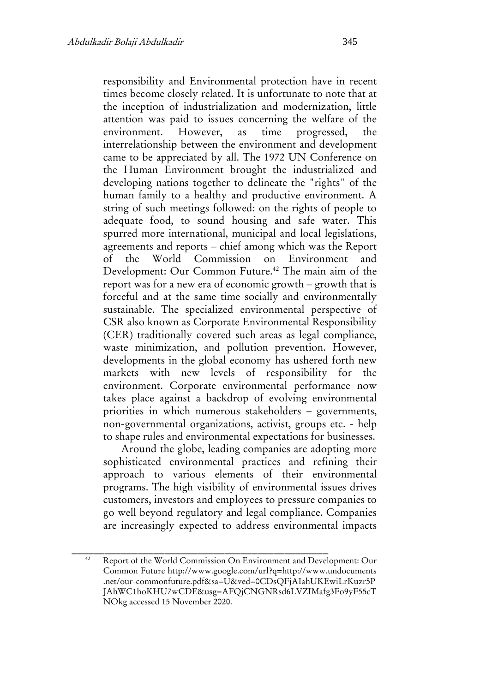responsibility and Environmental protection have in recent times become closely related. It is unfortunate to note that at the inception of industrialization and modernization, little attention was paid to issues concerning the welfare of the environment. However, as time progressed, the interrelationship between the environment and development came to be appreciated by all. The 1972 UN Conference on the Human Environment brought the industrialized and developing nations together to delineate the "rights" of the human family to a healthy and productive environment. A string of such meetings followed: on the rights of people to adequate food, to sound housing and safe water. This spurred more international, municipal and local legislations, agreements and reports – chief among which was the Report of the World Commission on Environment and Development: Our Common Future.<sup>42</sup> The main aim of the report was for a new era of economic growth – growth that is forceful and at the same time socially and environmentally sustainable. The specialized environmental perspective of CSR also known as Corporate Environmental Responsibility (CER) traditionally covered such areas as legal compliance, waste minimization, and pollution prevention. However, developments in the global economy has ushered forth new markets with new levels of responsibility for the environment. Corporate environmental performance now takes place against a backdrop of evolving environmental priorities in which numerous stakeholders – governments, non-governmental organizations, activist, groups etc. - help to shape rules and environmental expectations for businesses.

Around the globe, leading companies are adopting more sophisticated environmental practices and refining their approach to various elements of their environmental programs. The high visibility of environmental issues drives customers, investors and employees to pressure companies to go well beyond regulatory and legal compliance. Companies are increasingly expected to address environmental impacts

<sup>&</sup>lt;sup>42</sup> Report of the World Commission On Environment and Development: Our Common Future http://www.google.com/url?q=http://www.undocuments .net/our-commonfuture.pdf&sa=U&ved=0CDsQFjAIahUKEwiLrKuzr5P JAhWC1hoKHU7wCDE&usg=AFQjCNGNRsd6LVZIMafg3Fo9yF55cT NOkg accessed 15 November 2020.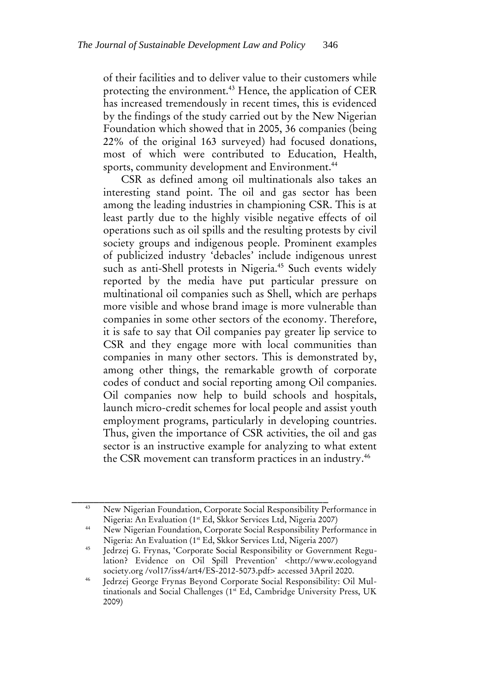of their facilities and to deliver value to their customers while protecting the environment.<sup>43</sup> Hence, the application of CER has increased tremendously in recent times, this is evidenced by the findings of the study carried out by the New Nigerian Foundation which showed that in 2005, 36 companies (being 22% of the original 163 surveyed) had focused donations, most of which were contributed to Education, Health, sports, community development and Environment.<sup>44</sup>

CSR as defined among oil multinationals also takes an interesting stand point. The oil and gas sector has been among the leading industries in championing CSR. This is at least partly due to the highly visible negative effects of oil operations such as oil spills and the resulting protests by civil society groups and indigenous people. Prominent examples of publicized industry 'debacles' include indigenous unrest such as anti-Shell protests in Nigeria.<sup>45</sup> Such events widely reported by the media have put particular pressure on multinational oil companies such as Shell, which are perhaps more visible and whose brand image is more vulnerable than companies in some other sectors of the economy. Therefore, it is safe to say that Oil companies pay greater lip service to CSR and they engage more with local communities than companies in many other sectors. This is demonstrated by, among other things, the remarkable growth of corporate codes of conduct and social reporting among Oil companies. Oil companies now help to build schools and hospitals, launch micro-credit schemes for local people and assist youth employment programs, particularly in developing countries. Thus, given the importance of CSR activities, the oil and gas sector is an instructive example for analyzing to what extent the CSR movement can transform practices in an industry.<sup>46</sup>

<sup>43</sup> New Nigerian Foundation, Corporate Social Responsibility Performance in Nigeria: An Evaluation (1st Ed, Skkor Services Ltd, Nigeria 2007)

<sup>44</sup> New Nigerian Foundation, Corporate Social Responsibility Performance in Nigeria: An Evaluation (1st Ed, Skkor Services Ltd, Nigeria 2007)

<sup>45</sup> Jedrzej G. Frynas, 'Corporate Social Responsibility or Government Regulation? Evidence on Oil Spill Prevention' <http://www.ecologyand society.org /vol17/iss4/art4/ES-2012-5073.pdf> accessed 3April 2020.

Jedrzej George Frynas Beyond Corporate Social Responsibility: Oil Multinationals and Social Challenges (1<sup>st</sup> Ed, Cambridge University Press, UK 2009)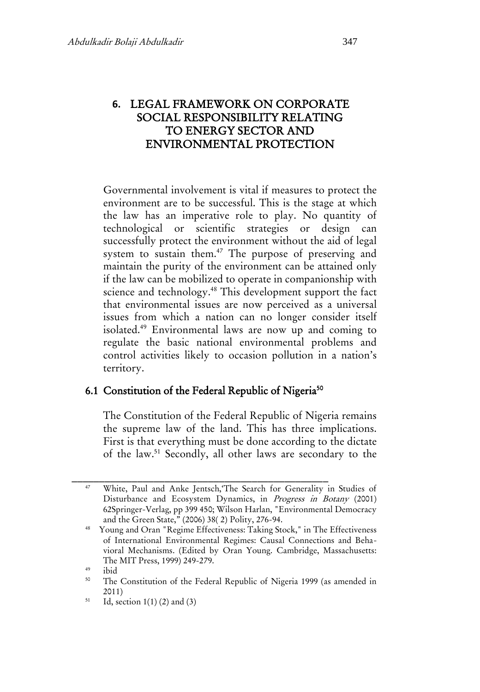# **6.** LEGAL FRAMEWORK ON CORPORATE SOCIAL RESPONSIBILITY RELATING TO ENERGY SECTOR AND ENVIRONMENTAL PROTECTION

Governmental involvement is vital if measures to protect the environment are to be successful. This is the stage at which the law has an imperative role to play. No quantity of technological or scientific strategies or design can successfully protect the environment without the aid of legal system to sustain them.<sup>47</sup> The purpose of preserving and maintain the purity of the environment can be attained only if the law can be mobilized to operate in companionship with science and technology.<sup>48</sup> This development support the fact that environmental issues are now perceived as a universal issues from which a nation can no longer consider itself isolated.<sup>49</sup> Environmental laws are now up and coming to regulate the basic national environmental problems and control activities likely to occasion pollution in a nation's territory.

# 6.1 Constitution of the Federal Republic of Nigeria<sup>50</sup>

The Constitution of the Federal Republic of Nigeria remains the supreme law of the land. This has three implications. First is that everything must be done according to the dictate of the law.<sup>51</sup> Secondly, all other laws are secondary to the

\_\_\_\_\_\_\_\_\_\_\_\_\_\_\_\_\_\_\_\_\_\_\_\_\_\_\_\_\_\_\_\_\_\_\_\_\_\_\_\_\_\_\_\_\_\_\_ <sup>47</sup> White, Paul and Anke Jentsch,'The Search for Generality in Studies of Disturbance and Ecosystem Dynamics, in Progress in Botany (2001) 62Springer-Verlag, pp 399 450; Wilson Harlan, "Environmental Democracy and the Green State," (2006) 38( 2) Polity, 276-94.

<sup>48</sup> Young and Oran "Regime Effectiveness: Taking Stock," in The Effectiveness of International Environmental Regimes: Causal Connections and Behavioral Mechanisms. (Edited by Oran Young. Cambridge, Massachusetts: The MIT Press, 1999) 249-279.

 $^{49}$  ibid<br> $^{50}$  T<sub>1</sub>

The Constitution of the Federal Republic of Nigeria 1999 (as amended in 2011)

 $51$  Id, section 1(1) (2) and (3)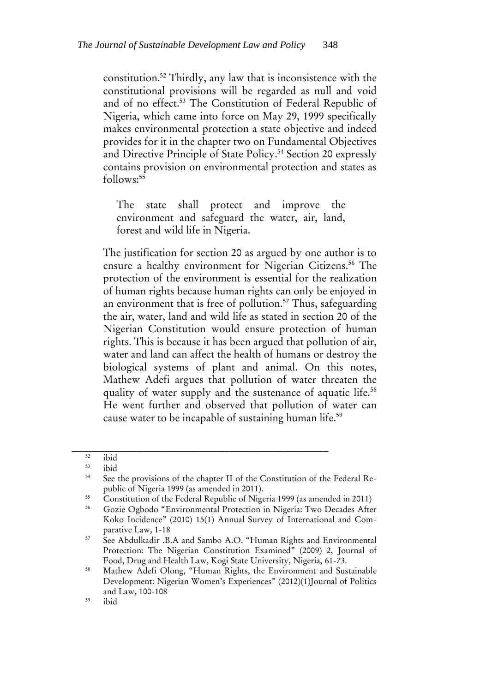constitution.<sup>52</sup> Thirdly, any law that is inconsistence with the constitutional provisions will be regarded as null and void and of no effect.<sup>53</sup> The Constitution of Federal Republic of Nigeria, which came into force on May 29, 1999 specifically makes environmental protection a state objective and indeed provides for it in the chapter two on Fundamental Objectives and Directive Principle of State Policy.<sup>54</sup> Section 20 expressly contains provision on environmental protection and states as  $follows: <sup>55</sup>$ 

The state shall protect and improve the environment and safeguard the water, air, land, forest and wild life in Nigeria.

The justification for section 20 as argued by one author is to ensure a healthy environment for Nigerian Citizens.<sup>56</sup> The protection of the environment is essential for the realization of human rights because human rights can only be enjoyed in an environment that is free of pollution.<sup>57</sup> Thus, safeguarding the air, water, land and wild life as stated in section 20 of the Nigerian Constitution would ensure protection of human rights. This is because it has been argued that pollution of air, water and land can affect the health of humans or destroy the biological systems of plant and animal. On this notes, Mathew Adefi argues that pollution of water threaten the quality of water supply and the sustenance of aquatic life.<sup>58</sup> He went further and observed that pollution of water can cause water to be incapable of sustaining human life.<sup>59</sup>

 $\frac{52}{53}$  ibid

 $rac{53}{54}$  ibid

See the provisions of the chapter II of the Constitution of the Federal Republic of Nigeria 1999 (as amended in 2011).

<sup>&</sup>lt;sup>55</sup> Constitution of the Federal Republic of Nigeria 1999 (as amended in 2011)<br><sup>56</sup> Capital Ocharda "Empire program Pentation in Nigeria True Davadas Afra

<sup>56</sup> Gozie Ogbodo "Environmental Protection in Nigeria: Two Decades After Koko Incidence" (2010) 15(1) Annual Survey of International and Comparative Law, 1-18

<sup>&</sup>lt;sup>57</sup> See Abdulkadir .B.A and Sambo A.O. "Human Rights and Environmental Protection: The Nigerian Constitution Examined" (2009) 2, Journal of Food, Drug and Health Law, Kogi State University, Nigeria, 61-73.

<sup>&</sup>lt;sup>58</sup> Mathew Adefi Olong, "Human Rights, the Environment and Sustainable Development: Nigerian Women's Experiences" (2012)(1)Journal of Politics and Law, 100-108

<sup>59</sup> ibid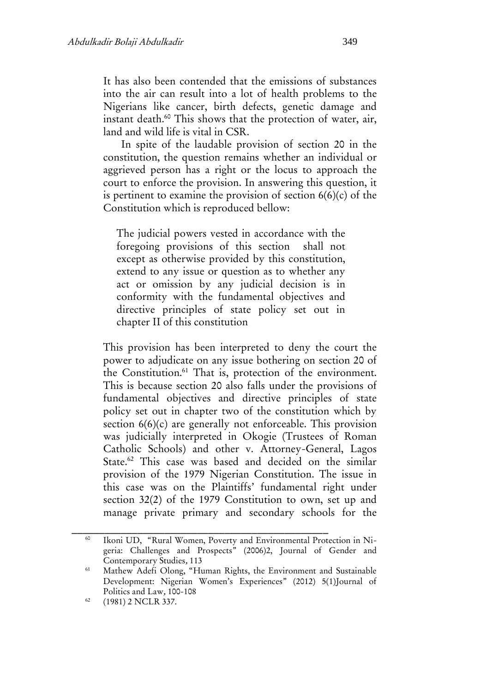It has also been contended that the emissions of substances into the air can result into a lot of health problems to the Nigerians like cancer, birth defects, genetic damage and instant death.<sup>60</sup> This shows that the protection of water, air, land and wild life is vital in CSR.

In spite of the laudable provision of section 20 in the constitution, the question remains whether an individual or aggrieved person has a right or the locus to approach the court to enforce the provision. In answering this question, it is pertinent to examine the provision of section  $6(6)(c)$  of the Constitution which is reproduced bellow:

The judicial powers vested in accordance with the foregoing provisions of this section shall not except as otherwise provided by this constitution, extend to any issue or question as to whether any act or omission by any judicial decision is in conformity with the fundamental objectives and directive principles of state policy set out in chapter II of this constitution

This provision has been interpreted to deny the court the power to adjudicate on any issue bothering on section 20 of the Constitution.<sup>61</sup> That is, protection of the environment. This is because section 20 also falls under the provisions of fundamental objectives and directive principles of state policy set out in chapter two of the constitution which by section 6(6)(c) are generally not enforceable. This provision was judicially interpreted in Okogie (Trustees of Roman Catholic Schools) and other v. Attorney-General, Lagos State. <sup>62</sup> This case was based and decided on the similar provision of the 1979 Nigerian Constitution. The issue in this case was on the Plaintiffs' fundamental right under section 32(2) of the 1979 Constitution to own, set up and manage private primary and secondary schools for the

<sup>60</sup> Ikoni UD, "Rural Women, Poverty and Environmental Protection in Nigeria: Challenges and Prospects" (2006)2, Journal of Gender and Contemporary Studies, 113

<sup>&</sup>lt;sup>61</sup> Mathew Adefi Olong, "Human Rights, the Environment and Sustainable Development: Nigerian Women's Experiences" (2012) 5(1)Journal of Politics and Law, 100-108

<sup>62</sup> (1981) 2 NCLR 337.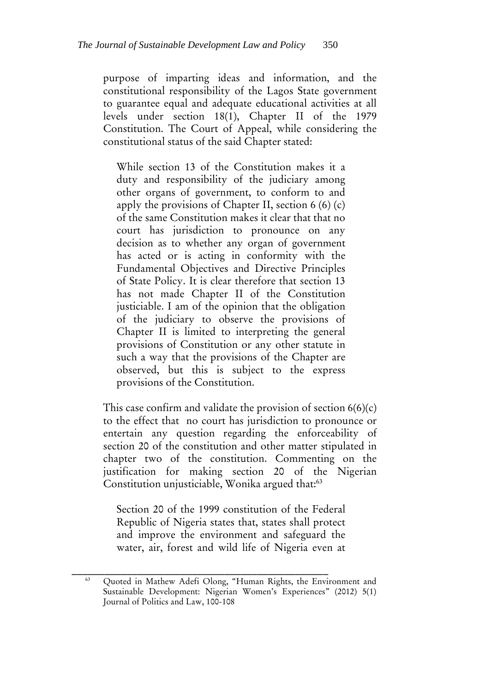purpose of imparting ideas and information, and the constitutional responsibility of the Lagos State government to guarantee equal and adequate educational activities at all levels under section 18(1), Chapter II of the 1979 Constitution. The Court of Appeal, while considering the constitutional status of the said Chapter stated:

While section 13 of the Constitution makes it a duty and responsibility of the judiciary among other organs of government, to conform to and apply the provisions of Chapter II, section  $6(6)(c)$ of the same Constitution makes it clear that that no court has jurisdiction to pronounce on any decision as to whether any organ of government has acted or is acting in conformity with the Fundamental Objectives and Directive Principles of State Policy. It is clear therefore that section 13 has not made Chapter II of the Constitution justiciable. I am of the opinion that the obligation of the judiciary to observe the provisions of Chapter II is limited to interpreting the general provisions of Constitution or any other statute in such a way that the provisions of the Chapter are observed, but this is subject to the express provisions of the Constitution.

This case confirm and validate the provision of section  $6(6)(c)$ to the effect that no court has jurisdiction to pronounce or entertain any question regarding the enforceability of section 20 of the constitution and other matter stipulated in chapter two of the constitution. Commenting on the justification for making section 20 of the Nigerian Constitution unjusticiable, Wonika argued that:<sup>63</sup>

Section 20 of the 1999 constitution of the Federal Republic of Nigeria states that, states shall protect and improve the environment and safeguard the water, air, forest and wild life of Nigeria even at

\_\_\_\_\_\_\_\_\_\_\_\_\_\_\_\_\_\_\_\_\_\_\_\_\_\_\_\_\_\_\_\_\_\_\_\_\_\_\_\_\_\_\_\_\_\_\_ Quoted in Mathew Adefi Olong, "Human Rights, the Environment and Sustainable Development: Nigerian Women's Experiences" (2012) 5(1) Journal of Politics and Law, 100-108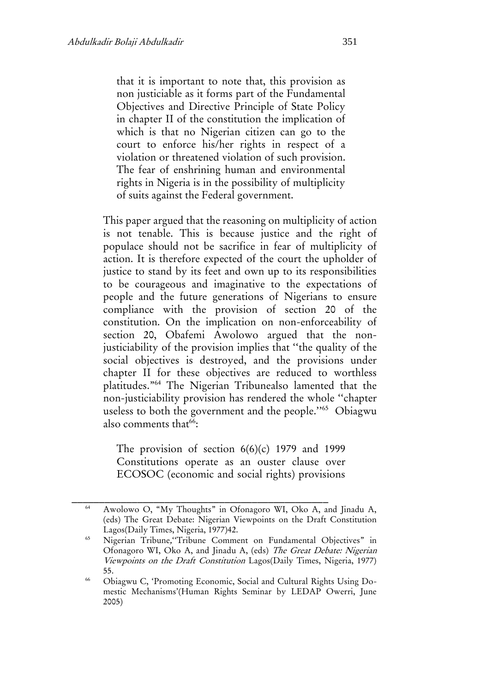that it is important to note that, this provision as non justiciable as it forms part of the Fundamental Objectives and Directive Principle of State Policy in chapter II of the constitution the implication of which is that no Nigerian citizen can go to the court to enforce his/her rights in respect of a violation or threatened violation of such provision. The fear of enshrining human and environmental rights in Nigeria is in the possibility of multiplicity of suits against the Federal government.

This paper argued that the reasoning on multiplicity of action is not tenable. This is because justice and the right of populace should not be sacrifice in fear of multiplicity of action. It is therefore expected of the court the upholder of justice to stand by its feet and own up to its responsibilities to be courageous and imaginative to the expectations of people and the future generations of Nigerians to ensure compliance with the provision of section 20 of the constitution. On the implication on non-enforceability of section 20, Obafemi Awolowo argued that the nonjusticiability of the provision implies that ''the quality of the social objectives is destroyed, and the provisions under chapter II for these objectives are reduced to worthless platitudes."<sup>64</sup> The Nigerian Tribunealso lamented that the non-justiciability provision has rendered the whole ''chapter useless to both the government and the people."<sup>65</sup> Obiagwu also comments that<sup>66</sup>:

The provision of section  $6(6)(c)$  1979 and 1999 Constitutions operate as an ouster clause over ECOSOC (economic and social rights) provisions

<sup>64</sup> Awolowo O, "My Thoughts" in Ofonagoro WI, Oko A, and Jinadu A, (eds) The Great Debate: Nigerian Viewpoints on the Draft Constitution Lagos(Daily Times, Nigeria, 1977)42.

<sup>65</sup> Nigerian Tribune,''Tribune Comment on Fundamental Objectives" in Ofonagoro WI, Oko A, and Jinadu A, (eds) The Great Debate: Nigerian Viewpoints on the Draft Constitution Lagos(Daily Times, Nigeria, 1977) 55.

<sup>66</sup> Obiagwu C, 'Promoting Economic, Social and Cultural Rights Using Domestic Mechanisms'(Human Rights Seminar by LEDAP Owerri, June 2005)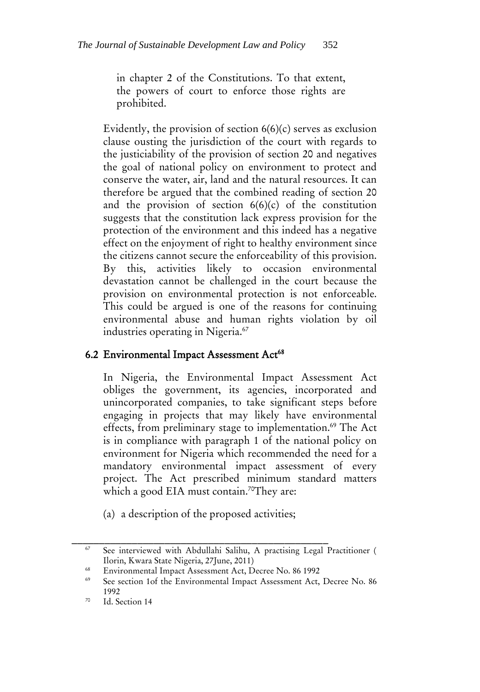in chapter 2 of the Constitutions. To that extent, the powers of court to enforce those rights are prohibited.

Evidently, the provision of section 6(6)(c) serves as exclusion clause ousting the jurisdiction of the court with regards to the justiciability of the provision of section 20 and negatives the goal of national policy on environment to protect and conserve the water, air, land and the natural resources. It can therefore be argued that the combined reading of section 20 and the provision of section  $6(6)(c)$  of the constitution suggests that the constitution lack express provision for the protection of the environment and this indeed has a negative effect on the enjoyment of right to healthy environment since the citizens cannot secure the enforceability of this provision. By this, activities likely to occasion environmental devastation cannot be challenged in the court because the provision on environmental protection is not enforceable. This could be argued is one of the reasons for continuing environmental abuse and human rights violation by oil industries operating in Nigeria.<sup>67</sup>

#### 6.2 Environmental Impact Assessment Act<sup>68</sup>

In Nigeria, the Environmental Impact Assessment Act obliges the government, its agencies, incorporated and unincorporated companies, to take significant steps before engaging in projects that may likely have environmental effects, from preliminary stage to implementation.<sup>69</sup> The Act is in compliance with paragraph 1 of the national policy on environment for Nigeria which recommended the need for a mandatory environmental impact assessment of every project. The Act prescribed minimum standard matters which a good EIA must contain.<sup>70</sup>They are:

(a) a description of the proposed activities;

<sup>67</sup> See interviewed with Abdullahi Salihu, A practising Legal Practitioner ( Ilorin, Kwara State Nigeria, 27June, 2011)

<sup>&</sup>lt;sup>68</sup> Environmental Impact Assessment Act, Decree No. 86 1992<br><sup>69</sup> Esteroida 1 of the Environmental Impact Assessment Act

See section 1of the Environmental Impact Assessment Act, Decree No. 86 1992

<sup>70</sup> Id. Section 14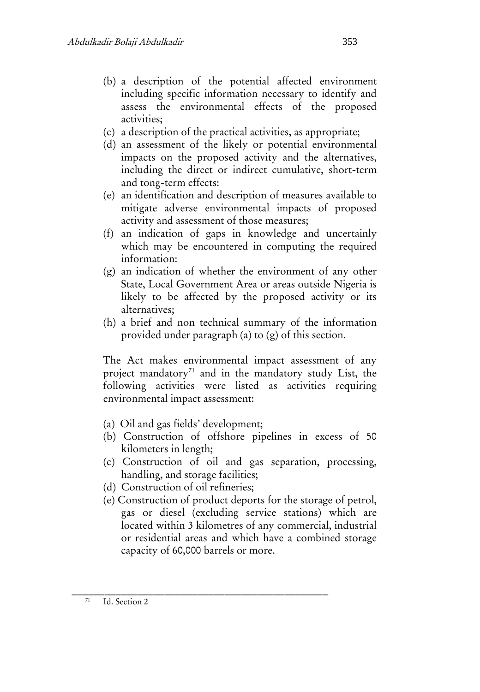- (b) a description of the potential affected environment including specific information necessary to identify and assess the environmental effects of the proposed activities;
- (c) a description of the practical activities, as appropriate;
- (d) an assessment of the likely or potential environmental impacts on the proposed activity and the alternatives, including the direct or indirect cumulative, short-term and tong-term effects:
- (e) an identification and description of measures available to mitigate adverse environmental impacts of proposed activity and assessment of those measures;
- (f) an indication of gaps in knowledge and uncertainly which may be encountered in computing the required information:
- (g) an indication of whether the environment of any other State, Local Government Area or areas outside Nigeria is likely to be affected by the proposed activity or its alternatives;
- (h) a brief and non technical summary of the information provided under paragraph (a) to (g) of this section.

The Act makes environmental impact assessment of any project mandatory<sup>71</sup> and in the mandatory study List, the following activities were listed as activities requiring environmental impact assessment:

- (a) Oil and gas fields' development;
- (b) Construction of offshore pipelines in excess of 50 kilometers in length;
- (c) Construction of oil and gas separation, processing, handling, and storage facilities;
- (d) Construction of oil refineries;
- (e) Construction of product deports for the storage of petrol, gas or diesel (excluding service stations) which are located within 3 kilometres of any commercial, industrial or residential areas and which have a combined storage capacity of 60,000 barrels or more.

\_\_\_\_\_\_\_\_\_\_\_\_\_\_\_\_\_\_\_\_\_\_\_\_\_\_\_\_\_\_\_\_\_\_\_\_\_\_\_\_\_\_\_\_\_\_\_  $71$  Id. Section 2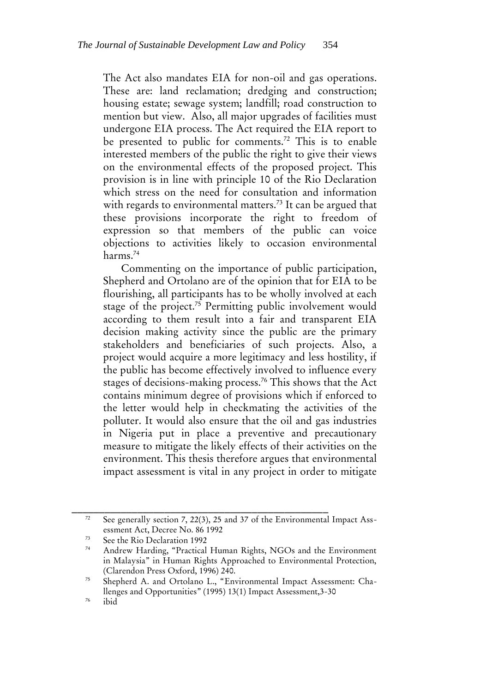The Act also mandates EIA for non-oil and gas operations. These are: land reclamation; dredging and construction; housing estate; sewage system; landfill; road construction to mention but view. Also, all major upgrades of facilities must undergone EIA process. The Act required the EIA report to be presented to public for comments.<sup>72</sup> This is to enable interested members of the public the right to give their views on the environmental effects of the proposed project. This provision is in line with principle 10 of the Rio Declaration which stress on the need for consultation and information with regards to environmental matters.<sup>73</sup> It can be argued that these provisions incorporate the right to freedom of expression so that members of the public can voice objections to activities likely to occasion environmental harms.<sup>74</sup>

Commenting on the importance of public participation, Shepherd and Ortolano are of the opinion that for EIA to be flourishing, all participants has to be wholly involved at each stage of the project.<sup>75</sup> Permitting public involvement would according to them result into a fair and transparent EIA decision making activity since the public are the primary stakeholders and beneficiaries of such projects. Also, a project would acquire a more legitimacy and less hostility, if the public has become effectively involved to influence every stages of decisions-making process.<sup>76</sup> This shows that the Act contains minimum degree of provisions which if enforced to the letter would help in checkmating the activities of the polluter. It would also ensure that the oil and gas industries in Nigeria put in place a preventive and precautionary measure to mitigate the likely effects of their activities on the environment. This thesis therefore argues that environmental impact assessment is vital in any project in order to mitigate

<sup>&</sup>lt;sup>72</sup> See generally section 7, 22(3), 25 and 37 of the Environmental Impact Assessment Act, Decree No. 86 1992

 $73$  See the Rio Declaration 1992

Andrew Harding, "Practical Human Rights, NGOs and the Environment in Malaysia" in Human Rights Approached to Environmental Protection, (Clarendon Press Oxford, 1996) 240.

<sup>75</sup> Shepherd A. and Ortolano L., "Environmental Impact Assessment: Challenges and Opportunities" (1995) 13(1) Impact Assessment,3-30

 $76$  ibid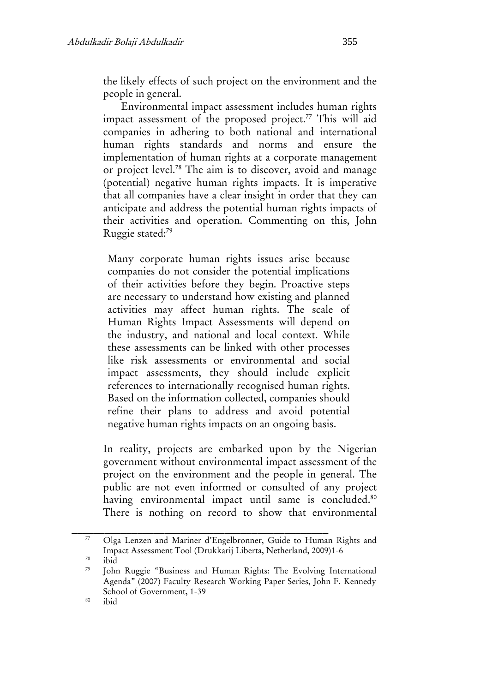the likely effects of such project on the environment and the people in general.

Environmental impact assessment includes human rights impact assessment of the proposed project.<sup>77</sup> This will aid companies in adhering to both national and international human rights standards and norms and ensure the implementation of human rights at a corporate management or project level.<sup>78</sup> The aim is to discover, avoid and manage (potential) negative human rights impacts. It is imperative that all companies have a clear insight in order that they can anticipate and address the potential human rights impacts of their activities and operation. Commenting on this, John Ruggie stated:<sup>79</sup>

Many corporate human rights issues arise because companies do not consider the potential implications of their activities before they begin. Proactive steps are necessary to understand how existing and planned activities may affect human rights. The scale of Human Rights Impact Assessments will depend on the industry, and national and local context. While these assessments can be linked with other processes like risk assessments or environmental and social impact assessments, they should include explicit references to internationally recognised human rights. Based on the information collected, companies should refine their plans to address and avoid potential negative human rights impacts on an ongoing basis.

In reality, projects are embarked upon by the Nigerian government without environmental impact assessment of the project on the environment and the people in general. The public are not even informed or consulted of any project having environmental impact until same is concluded.<sup>80</sup> There is nothing on record to show that environmental

\_\_\_\_\_\_\_\_\_\_\_\_\_\_\_\_\_\_\_\_\_\_\_\_\_\_\_\_\_\_\_\_\_\_\_\_\_\_\_\_\_\_\_\_\_\_\_

 $78$  ibid

<sup>77</sup> Olga Lenzen and Mariner d'Engelbronner, Guide to Human Rights and Impact Assessment Tool (Drukkarij Liberta, Netherland, 2009)1-6

<sup>79</sup> John Ruggie "Business and Human Rights: The Evolving International Agenda" (2007) Faculty Research Working Paper Series, John F. Kennedy School of Government, 1-39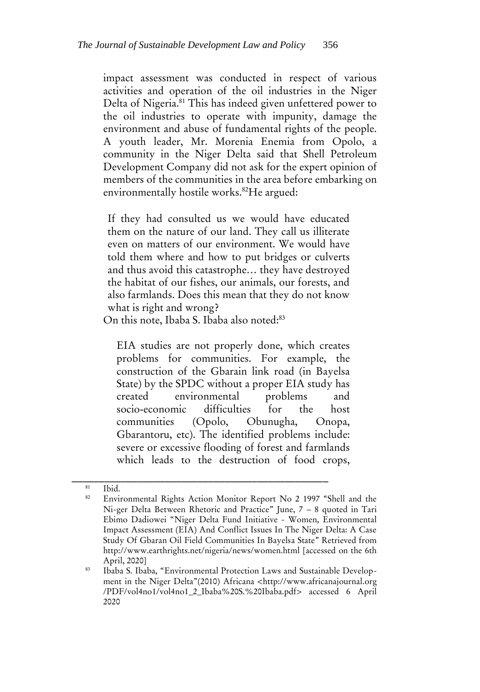impact assessment was conducted in respect of various activities and operation of the oil industries in the Niger Delta of Nigeria.<sup>81</sup> This has indeed given unfettered power to the oil industries to operate with impunity, damage the environment and abuse of fundamental rights of the people. A youth leader, Mr. Morenia Enemia from Opolo, a community in the Niger Delta said that Shell Petroleum Development Company did not ask for the expert opinion of members of the communities in the area before embarking on environmentally hostile works.<sup>82</sup>He argued:

If they had consulted us we would have educated them on the nature of our land. They call us illiterate even on matters of our environment. We would have told them where and how to put bridges or culverts and thus avoid this catastrophe… they have destroyed the habitat of our fishes, our animals, our forests, and also farmlands. Does this mean that they do not know what is right and wrong?

On this note, Ibaba S. Ibaba also noted:<sup>83</sup>

\_\_\_\_\_\_\_\_\_\_\_\_\_\_\_\_\_\_\_\_\_\_\_\_\_\_\_\_\_\_\_\_\_\_\_\_\_\_\_\_\_\_\_\_\_\_\_

EIA studies are not properly done, which creates problems for communities. For example, the construction of the Gbarain link road (in Bayelsa State) by the SPDC without a proper EIA study has created environmental problems and socio‐economic difficulties for the host communities (Opolo, Obunugha, Onopa, Gbarantoru, etc). The identified problems include: severe or excessive flooding of forest and farmlands which leads to the destruction of food crops,

 $rac{81}{82}$  Ibid.

Environmental Rights Action Monitor Report No 2 1997 "Shell and the Ni-ger Delta Between Rhetoric and Practice" June, 7 – 8 quoted in Tari Ebimo Dadiowei "Niger Delta Fund Initiative - Women, Environmental Impact Assessment (EIA) And Conflict Issues In The Niger Delta: A Case Study Of Gbaran Oil Field Communities In Bayelsa State" Retrieved from http://www.earthrights.net/nigeria/news/women.html [accessed on the 6th April, 2020]

<sup>83</sup> Ibaba S. Ibaba, "Environmental Protection Laws and Sustainable Development in the Niger Delta"(2010) Africana <http://www.africanajournal.org /PDF/vol4no1/vol4no1\_2\_Ibaba%20S.%20Ibaba.pdf> accessed 6 April 2020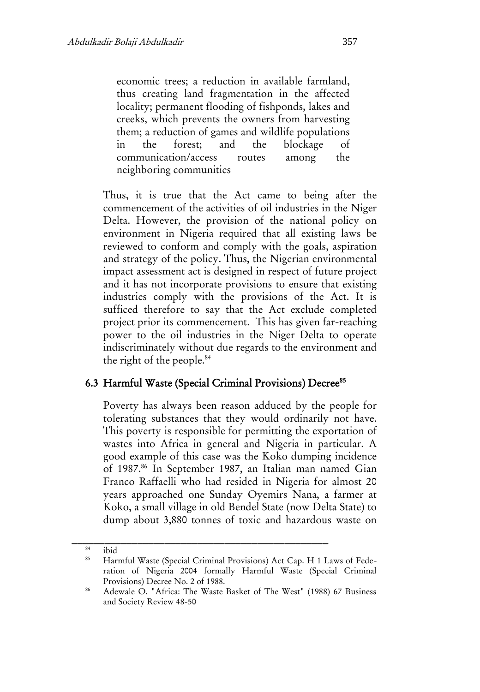economic trees; a reduction in available farmland, thus creating land fragmentation in the affected locality; permanent flooding of fishponds, lakes and creeks, which prevents the owners from harvesting them; a reduction of games and wildlife populations in the forest; and the blockage of communication/access routes among the neighboring communities

Thus, it is true that the Act came to being after the commencement of the activities of oil industries in the Niger Delta. However, the provision of the national policy on environment in Nigeria required that all existing laws be reviewed to conform and comply with the goals, aspiration and strategy of the policy. Thus, the Nigerian environmental impact assessment act is designed in respect of future project and it has not incorporate provisions to ensure that existing industries comply with the provisions of the Act. It is sufficed therefore to say that the Act exclude completed project prior its commencement. This has given far-reaching power to the oil industries in the Niger Delta to operate indiscriminately without due regards to the environment and the right of the people.<sup>84</sup>

#### 6.3 Harmful Waste (Special Criminal Provisions) Decree<sup>85</sup>

Poverty has always been reason adduced by the people for tolerating substances that they would ordinarily not have. This poverty is responsible for permitting the exportation of wastes into Africa in general and Nigeria in particular. A good example of this case was the Koko dumping incidence of 1987.<sup>86</sup> In September 1987, an Italian man named Gian Franco Raffaelli who had resided in Nigeria for almost 20 years approached one Sunday Oyemirs Nana, a farmer at Koko, a small village in old Bendel State (now Delta State) to dump about 3,880 tonnes of toxic and hazardous waste on

 $rac{84}{85}$  ibid

<sup>85</sup> Harmful Waste (Special Criminal Provisions) Act Cap. H 1 Laws of Federation of Nigeria 2004 formally Harmful Waste (Special Criminal Provisions) Decree No. 2 of 1988.

<sup>86</sup> Adewale O. "Africa: The Waste Basket of The West" (1988) 67 Business and Society Review 48-50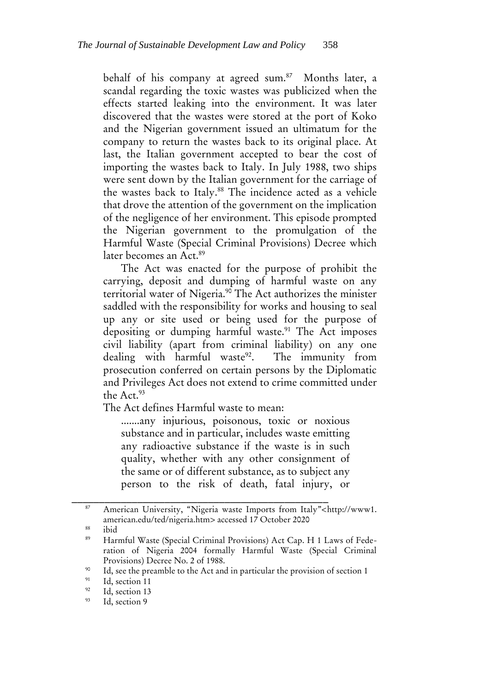behalf of his company at agreed sum.<sup>87</sup> Months later, a scandal regarding the toxic wastes was publicized when the effects started leaking into the environment. It was later discovered that the wastes were stored at the port of Koko and the Nigerian government issued an ultimatum for the company to return the wastes back to its original place. At last, the Italian government accepted to bear the cost of importing the wastes back to Italy. In July 1988, two ships were sent down by the Italian government for the carriage of the wastes back to Italy.<sup>88</sup> The incidence acted as a vehicle that drove the attention of the government on the implication of the negligence of her environment. This episode prompted the Nigerian government to the promulgation of the Harmful Waste (Special Criminal Provisions) Decree which later becomes an Act.<sup>89</sup>

The Act was enacted for the purpose of prohibit the carrying, deposit and dumping of harmful waste on any territorial water of Nigeria.<sup>90</sup> The Act authorizes the minister saddled with the responsibility for works and housing to seal up any or site used or being used for the purpose of depositing or dumping harmful waste.<sup>91</sup> The Act imposes civil liability (apart from criminal liability) on any one dealing with harmful waste<sup>92</sup>. The immunity from prosecution conferred on certain persons by the Diplomatic and Privileges Act does not extend to crime committed under the Act.<sup>93</sup>

The Act defines Harmful waste to mean:

\_\_\_\_\_\_\_\_\_\_\_\_\_\_\_\_\_\_\_\_\_\_\_\_\_\_\_\_\_\_\_\_\_\_\_\_\_\_\_\_\_\_\_\_\_\_\_

.......any injurious, poisonous, toxic or noxious substance and in particular, includes waste emitting any radioactive substance if the waste is in such quality, whether with any other consignment of the same or of different substance, as to subject any person to the risk of death, fatal injury, or

<sup>87</sup> American University, "Nigeria waste Imports from Italy"<http://www1. american.edu/ted/nigeria.htm> accessed 17 October 2020

 $rac{88}{89}$  ibid

<sup>89</sup> Harmful Waste (Special Criminal Provisions) Act Cap. H 1 Laws of Federation of Nigeria 2004 formally Harmful Waste (Special Criminal Provisions) Decree No. 2 of 1988.

<sup>&</sup>lt;sup>90</sup> Id, see the preamble to the Act and in particular the provision of section 1<br><sup>91</sup> Id section 1<sup>4</sup>

 $^{91}$  Id, section 11

 $^{92}$  Id, section 13

Id, section 9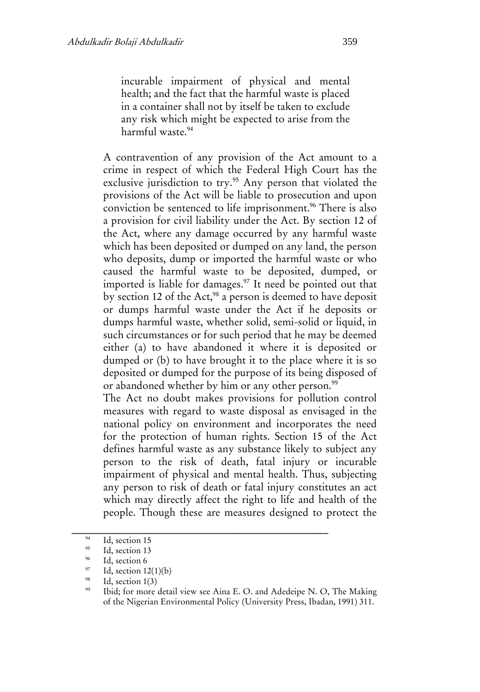incurable impairment of physical and mental health; and the fact that the harmful waste is placed in a container shall not by itself be taken to exclude any risk which might be expected to arise from the harmful waste.<sup>94</sup>

A contravention of any provision of the Act amount to a crime in respect of which the Federal High Court has the exclusive jurisdiction to try.<sup>95</sup> Any person that violated the provisions of the Act will be liable to prosecution and upon conviction be sentenced to life imprisonment.<sup>96</sup> There is also a provision for civil liability under the Act. By section 12 of the Act, where any damage occurred by any harmful waste which has been deposited or dumped on any land, the person who deposits, dump or imported the harmful waste or who caused the harmful waste to be deposited, dumped, or imported is liable for damages.<sup>97</sup> It need be pointed out that by section 12 of the Act,<sup>98</sup> a person is deemed to have deposit or dumps harmful waste under the Act if he deposits or dumps harmful waste, whether solid, semi-solid or liquid, in such circumstances or for such period that he may be deemed either (a) to have abandoned it where it is deposited or dumped or (b) to have brought it to the place where it is so deposited or dumped for the purpose of its being disposed of or abandoned whether by him or any other person.<sup>99</sup>

The Act no doubt makes provisions for pollution control measures with regard to waste disposal as envisaged in the national policy on environment and incorporates the need for the protection of human rights. Section 15 of the Act defines harmful waste as any substance likely to subject any person to the risk of death, fatal injury or incurable impairment of physical and mental health. Thus, subjecting any person to risk of death or fatal injury constitutes an act which may directly affect the right to life and health of the people. Though these are measures designed to protect the

 $\frac{94}{95}$  Id, section 15

 $^{95}$  Id, section 13

 $^{96}$  Id, section 6

<sup>&</sup>lt;sup>97</sup> Id, section 12(1)(b)

<sup>&</sup>lt;sup>98</sup> Id, section  $1(3)$ <br><sup>99</sup> Ibid: for more

Ibid; for more detail view see Aina E. O. and Adedeipe N. O, The Making of the Nigerian Environmental Policy (University Press, Ibadan, 1991) 311.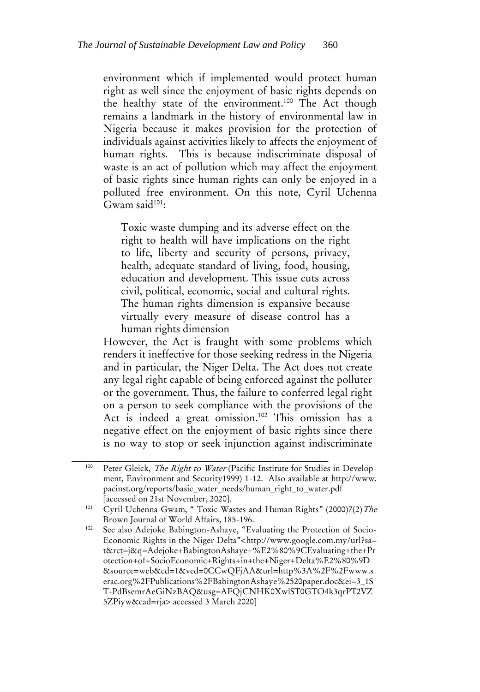environment which if implemented would protect human right as well since the enjoyment of basic rights depends on the healthy state of the environment.<sup>100</sup> The Act though remains a landmark in the history of environmental law in Nigeria because it makes provision for the protection of individuals against activities likely to affects the enjoyment of human rights. This is because indiscriminate disposal of waste is an act of pollution which may affect the enjoyment of basic rights since human rights can only be enjoyed in a polluted free environment. On this note, Cyril Uchenna Gwam said $101$ :

Toxic waste dumping and its adverse effect on the right to health will have implications on the right to life, liberty and security of persons, privacy, health, adequate standard of living, food, housing, education and development. This issue cuts across civil, political, economic, social and cultural rights. The human rights dimension is expansive because virtually every measure of disease control has a human rights dimension

However, the Act is fraught with some problems which renders it ineffective for those seeking redress in the Nigeria and in particular, the Niger Delta. The Act does not create any legal right capable of being enforced against the polluter or the government. Thus, the failure to conferred legal right on a person to seek compliance with the provisions of the Act is indeed a great omission.<sup>102</sup> This omission has a negative effect on the enjoyment of basic rights since there is no way to stop or seek injunction against indiscriminate

<sup>&</sup>lt;sup>100</sup> Peter Gleick, *The Right to Water* (Pacific Institute for Studies in Development, Environment and Security1999) 1-12. Also available at http://www. pacinst.org/reports/basic\_water\_needs/human\_right\_to\_water.pdf [accessed on 21st November, 2020].

<sup>&</sup>lt;sup>101</sup> Cyril Uchenna Gwam, " Toxic Wastes and Human Rights" (2000)7(2) The Brown Journal of World Affairs, 185-196.

<sup>&</sup>lt;sup>102</sup> See also Adejoke Babington-Ashaye, "Evaluating the Protection of Socio-Economic Rights in the Niger Delta"<http://www.google.com.my/url?sa= t&rct=j&q=Adejoke+BabingtonAshaye+%E2%80%9CEvaluating+the+Pr otection+of+SocioEconomic+Rights+in+the+Niger+Delta%E2%80%9D &source=web&cd=1&ved=0CCwQFjAA&url=http%3A%2F%2Fwww.s erac.org%2FPublications%2FBabingtonAshaye%2520paper.doc&ei=3\_1S T-PdBsemrAeGiNzBAQ&usg=AFQjCNHK0XwlST0GTO4k3qrPT2VZ 5ZPiyw&cad=rja> accessed 3 March 2020]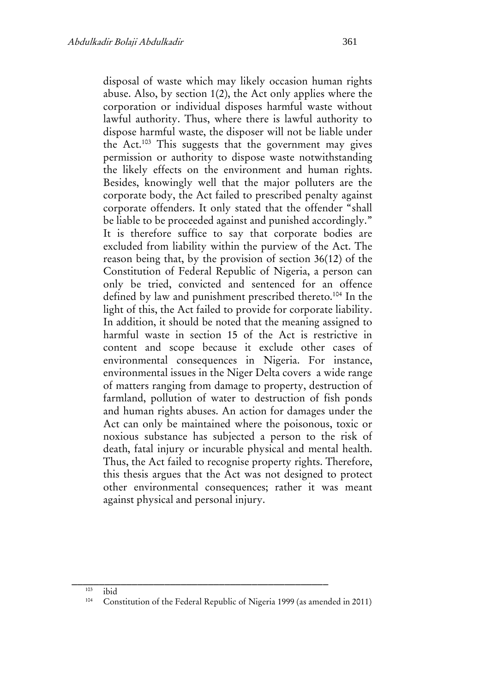disposal of waste which may likely occasion human rights abuse. Also, by section 1(2), the Act only applies where the corporation or individual disposes harmful waste without lawful authority. Thus, where there is lawful authority to dispose harmful waste, the disposer will not be liable under the Act.<sup>103</sup> This suggests that the government may gives permission or authority to dispose waste notwithstanding the likely effects on the environment and human rights. Besides, knowingly well that the major polluters are the corporate body, the Act failed to prescribed penalty against corporate offenders. It only stated that the offender "shall be liable to be proceeded against and punished accordingly." It is therefore suffice to say that corporate bodies are excluded from liability within the purview of the Act. The reason being that, by the provision of section 36(12) of the Constitution of Federal Republic of Nigeria, a person can only be tried, convicted and sentenced for an offence defined by law and punishment prescribed thereto.<sup>104</sup> In the light of this, the Act failed to provide for corporate liability. In addition, it should be noted that the meaning assigned to harmful waste in section 15 of the Act is restrictive in content and scope because it exclude other cases of environmental consequences in Nigeria. For instance, environmental issues in the Niger Delta covers a wide range of matters ranging from damage to property, destruction of farmland, pollution of water to destruction of fish ponds and human rights abuses. An action for damages under the Act can only be maintained where the poisonous, toxic or noxious substance has subjected a person to the risk of death, fatal injury or incurable physical and mental health. Thus, the Act failed to recognise property rights. Therefore, this thesis argues that the Act was not designed to protect other environmental consequences; rather it was meant

# $103$  ibid<br> $104$  Cor

against physical and personal injury.

Constitution of the Federal Republic of Nigeria 1999 (as amended in 2011)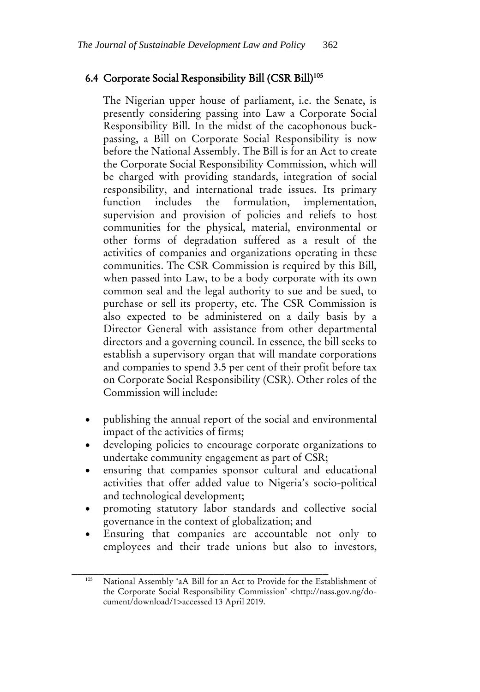# 6.4 Corporate Social Responsibility Bill (CSR Bill)<sup>105</sup>

The Nigerian upper house of parliament, i.e. the Senate, is presently considering passing into Law a Corporate Social Responsibility Bill. In the midst of the cacophonous buckpassing, a Bill on Corporate Social Responsibility is now before the National Assembly. The Bill is for an Act to create the Corporate Social Responsibility Commission, which will be charged with providing standards, integration of social responsibility, and international trade issues. Its primary function includes the formulation, implementation, supervision and provision of policies and reliefs to host communities for the physical, material, environmental or other forms of degradation suffered as a result of the activities of companies and organizations operating in these communities. The CSR Commission is required by this Bill, when passed into Law, to be a body corporate with its own common seal and the legal authority to sue and be sued, to purchase or sell its property, etc. The CSR Commission is also expected to be administered on a daily basis by a Director General with assistance from other departmental directors and a governing council. In essence, the bill seeks to establish a supervisory organ that will mandate corporations and companies to spend 3.5 per cent of their profit before tax on Corporate Social Responsibility (CSR). Other roles of the Commission will include:

- publishing the annual report of the social and environmental impact of the activities of firms;
- developing policies to encourage corporate organizations to undertake community engagement as part of CSR;
- ensuring that companies sponsor cultural and educational activities that offer added value to Nigeria's socio-political and technological development;
- promoting statutory labor standards and collective social governance in the context of globalization; and
- Ensuring that companies are accountable not only to employees and their trade unions but also to investors,

National Assembly 'aA Bill for an Act to Provide for the Establishment of the Corporate Social Responsibility Commission' <http://nass.gov.ng/document/download/1>accessed 13 April 2019.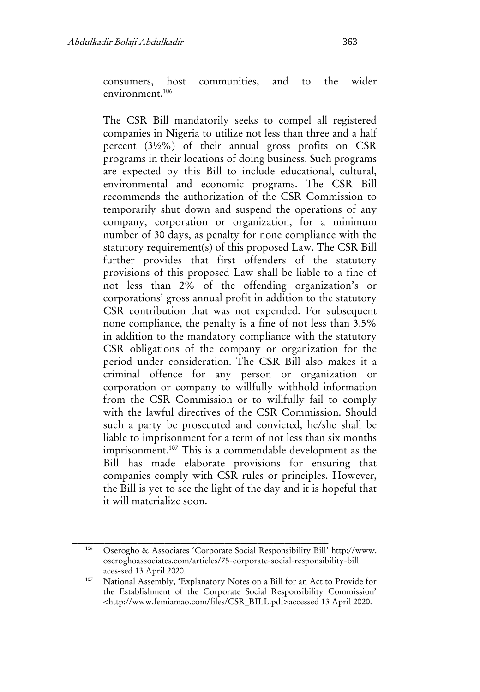consumers, host communities, and to the wider environment.<sup>106</sup>

The CSR Bill mandatorily seeks to compel all registered companies in Nigeria to utilize not less than three and a half percent (3½%) of their annual gross profits on CSR programs in their locations of doing business. Such programs are expected by this Bill to include educational, cultural, environmental and economic programs. The CSR Bill recommends the authorization of the CSR Commission to temporarily shut down and suspend the operations of any company, corporation or organization, for a minimum number of 30 days, as penalty for none compliance with the statutory requirement(s) of this proposed Law. The CSR Bill further provides that first offenders of the statutory provisions of this proposed Law shall be liable to a fine of not less than 2% of the offending organization's or corporations' gross annual profit in addition to the statutory CSR contribution that was not expended. For subsequent none compliance, the penalty is a fine of not less than 3.5% in addition to the mandatory compliance with the statutory CSR obligations of the company or organization for the period under consideration. The CSR Bill also makes it a criminal offence for any person or organization or corporation or company to willfully withhold information from the CSR Commission or to willfully fail to comply with the lawful directives of the CSR Commission. Should such a party be prosecuted and convicted, he/she shall be liable to imprisonment for a term of not less than six months imprisonment.<sup>107</sup> This is a commendable development as the Bill has made elaborate provisions for ensuring that companies comply with CSR rules or principles. However, the Bill is yet to see the light of the day and it is hopeful that it will materialize soon.

<sup>106</sup> Oserogho & Associates 'Corporate Social Responsibility Bill' http://www. oseroghoassociates.com/articles/75-corporate-social-responsibility-bill aces-sed 13 April 2020.

National Assembly, 'Explanatory Notes on a Bill for an Act to Provide for the Establishment of the Corporate Social Responsibility Commission' <http://www.femiamao.com/files/CSR\_BILL.pdf>accessed 13 April 2020.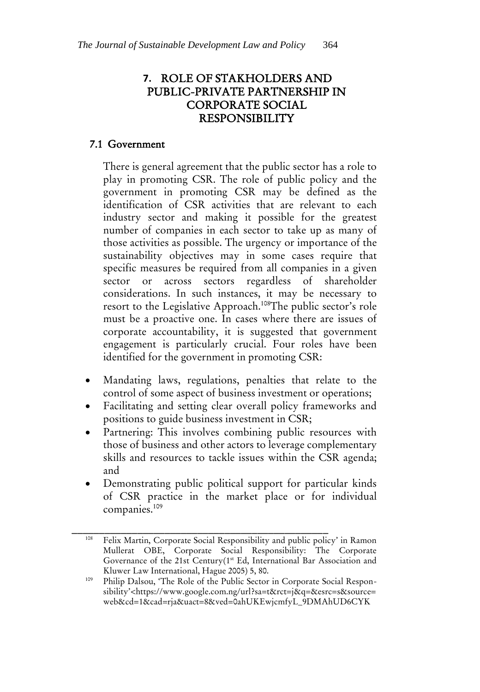# **7.** ROLE OF STAKHOLDERS AND PUBLIC-PRIVATE PARTNERSHIP IN CORPORATE SOCIAL RESPONSIBILITY

#### 7.1 Government

There is general agreement that the public sector has a role to play in promoting CSR. The role of public policy and the government in promoting CSR may be defined as the identification of CSR activities that are relevant to each industry sector and making it possible for the greatest number of companies in each sector to take up as many of those activities as possible. The urgency or importance of the sustainability objectives may in some cases require that specific measures be required from all companies in a given sector or across sectors regardless of shareholder considerations. In such instances, it may be necessary to resort to the Legislative Approach.<sup>108</sup>The public sector's role must be a proactive one. In cases where there are issues of corporate accountability, it is suggested that government engagement is particularly crucial. Four roles have been identified for the government in promoting CSR:

- Mandating laws, regulations, penalties that relate to the control of some aspect of business investment or operations;
- Facilitating and setting clear overall policy frameworks and positions to guide business investment in CSR;
- Partnering: This involves combining public resources with those of business and other actors to leverage complementary skills and resources to tackle issues within the CSR agenda; and
- Demonstrating public political support for particular kinds of CSR practice in the market place or for individual companies.<sup>109</sup>

\_\_\_\_\_\_\_\_\_\_\_\_\_\_\_\_\_\_\_\_\_\_\_\_\_\_\_\_\_\_\_\_\_\_\_\_\_\_\_\_\_\_\_\_\_\_\_ <sup>108</sup> Felix Martin, Corporate Social Responsibility and public policy' in Ramon Mullerat OBE, Corporate Social Responsibility: The Corporate Governance of the 21st Century(1st Ed, International Bar Association and Kluwer Law International, Hague 2005) 5, 80.

Philip Dalsou, 'The Role of the Public Sector in Corporate Social Responsibility'<https://www.google.com.ng/url?sa=t&rct=j&q=&esrc=s&source= web&cd=1&cad=rja&uact=8&ved=0ahUKEwjcmfyL\_9DMAhUD6CYK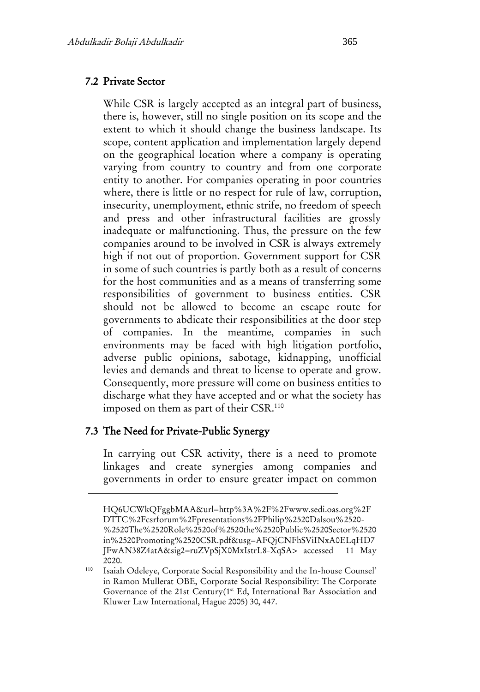#### 7.2 Private Sector

While CSR is largely accepted as an integral part of business, there is, however, still no single position on its scope and the extent to which it should change the business landscape. Its scope, content application and implementation largely depend on the geographical location where a company is operating varying from country to country and from one corporate entity to another. For companies operating in poor countries where, there is little or no respect for rule of law, corruption, insecurity, unemployment, ethnic strife, no freedom of speech and press and other infrastructural facilities are grossly inadequate or malfunctioning. Thus, the pressure on the few companies around to be involved in CSR is always extremely high if not out of proportion. Government support for CSR in some of such countries is partly both as a result of concerns for the host communities and as a means of transferring some responsibilities of government to business entities. CSR should not be allowed to become an escape route for governments to abdicate their responsibilities at the door step of companies. In the meantime, companies in such environments may be faced with high litigation portfolio, adverse public opinions, sabotage, kidnapping, unofficial levies and demands and threat to license to operate and grow. Consequently, more pressure will come on business entities to discharge what they have accepted and or what the society has imposed on them as part of their CSR.<sup>110</sup>

#### 7.3 The Need for Private-Public Synergy

In carrying out CSR activity, there is a need to promote linkages and create synergies among companies and governments in order to ensure greater impact on common

HQ6UCWkQFggbMAA&url=http%3A%2F%2Fwww.sedi.oas.org%2F DTTC%2Fcsrforum%2Fpresentations%2FPhilip%2520Dalsou%2520- %2520The%2520Role%2520of%2520the%2520Public%2520Sector%2520 in%2520Promoting%2520CSR.pdf&usg=AFQjCNFhSViINxA0ELqHD7 JFwAN38Z4atA&sig2=ruZVpSjX0MxIstrL8-XqSA> accessed 11 May 2020.

<sup>110</sup> Isaiah Odeleye, Corporate Social Responsibility and the In-house Counsel' in Ramon Mullerat OBE, Corporate Social Responsibility: The Corporate Governance of the 21st Century(1st Ed, International Bar Association and Kluwer Law International, Hague 2005) 30, 447.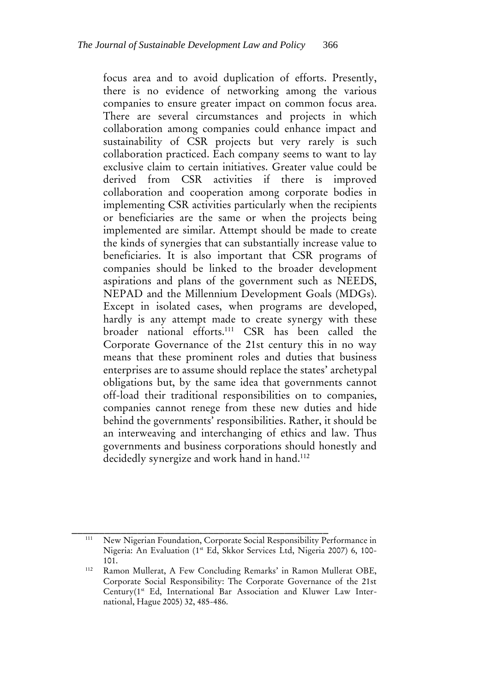focus area and to avoid duplication of efforts. Presently, there is no evidence of networking among the various companies to ensure greater impact on common focus area. There are several circumstances and projects in which collaboration among companies could enhance impact and sustainability of CSR projects but very rarely is such collaboration practiced. Each company seems to want to lay exclusive claim to certain initiatives. Greater value could be derived from CSR activities if there is improved collaboration and cooperation among corporate bodies in implementing CSR activities particularly when the recipients or beneficiaries are the same or when the projects being implemented are similar. Attempt should be made to create the kinds of synergies that can substantially increase value to beneficiaries. It is also important that CSR programs of companies should be linked to the broader development aspirations and plans of the government such as NEEDS, NEPAD and the Millennium Development Goals (MDGs). Except in isolated cases, when programs are developed, hardly is any attempt made to create synergy with these broader national efforts.<sup>111</sup> CSR has been called the Corporate Governance of the 21st century this in no way means that these prominent roles and duties that business enterprises are to assume should replace the states' archetypal obligations but, by the same idea that governments cannot off-load their traditional responsibilities on to companies, companies cannot renege from these new duties and hide behind the governments' responsibilities. Rather, it should be an interweaving and interchanging of ethics and law. Thus governments and business corporations should honestly and decidedly synergize and work hand in hand.<sup>112</sup>

\_\_\_\_\_\_\_\_\_\_\_\_\_\_\_\_\_\_\_\_\_\_\_\_\_\_\_\_\_\_\_\_\_\_\_\_\_\_\_\_\_\_\_\_\_\_\_ <sup>111</sup> New Nigerian Foundation, Corporate Social Responsibility Performance in Nigeria: An Evaluation (1st Ed, Skkor Services Ltd, Nigeria 2007) 6, 100-101.

<sup>112</sup> Ramon Mullerat, A Few Concluding Remarks' in Ramon Mullerat OBE, Corporate Social Responsibility: The Corporate Governance of the 21st Century(1st Ed, International Bar Association and Kluwer Law International, Hague 2005) 32, 485-486.